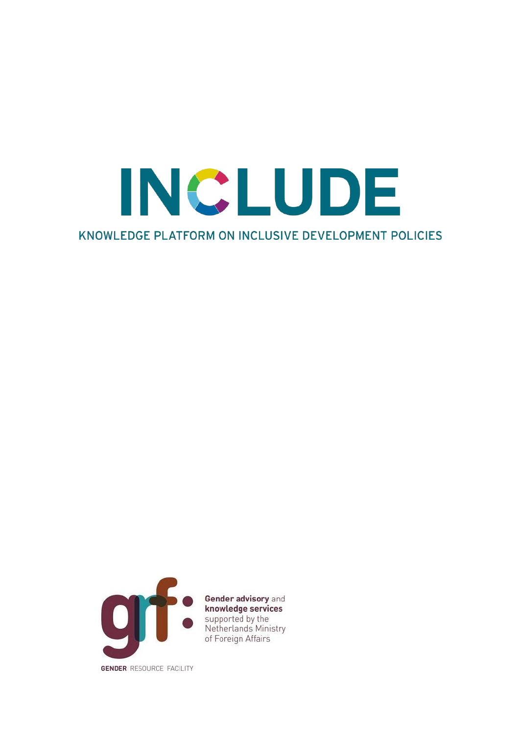KNOWLEDGE PLATFORM ON INCLUSIVE DEVELOPMENT POLICIES

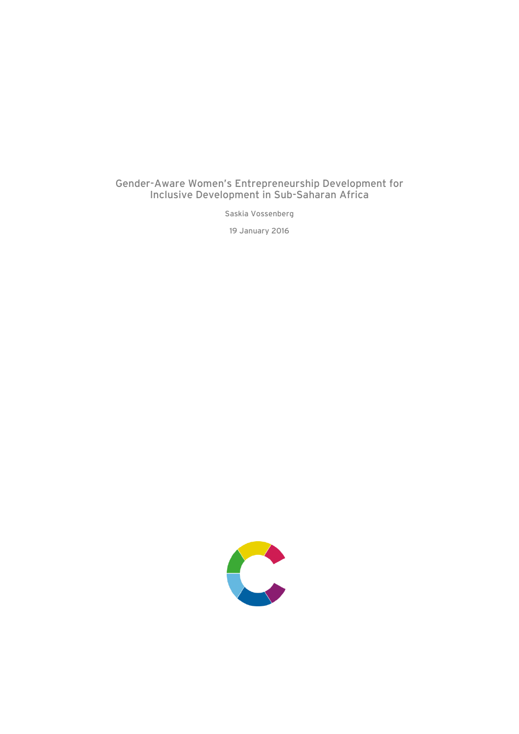## Gender-Aware Women's Entrepreneurship Development for Inclusive Development in Sub-Saharan Africa

Saskia Vossenberg

19 January 2016

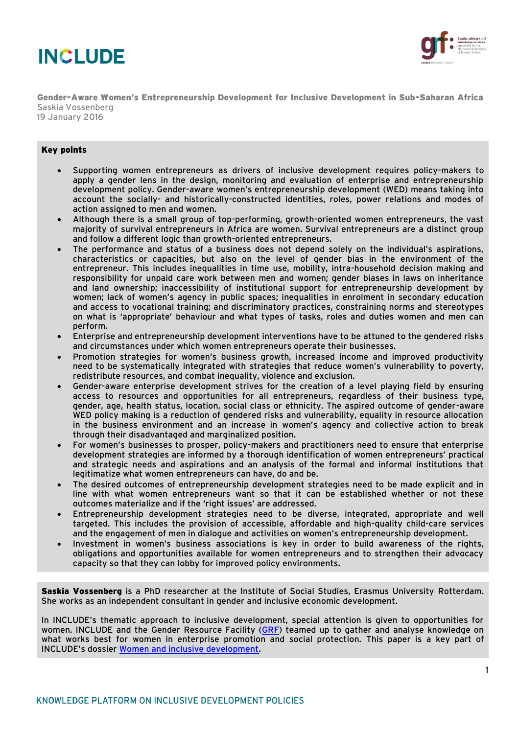



Gender-Aware Women's Entrepreneurship Development for Inclusive Development in Sub-Saharan Africa Saskia Vossenberg 19 January 2016

#### Key points

- Supporting women entrepreneurs as drivers of inclusive development requires policy-makers to apply a gender lens in the design, monitoring and evaluation of enterprise and entrepreneurship development policy. Gender-aware women's entrepreneurship development (WED) means taking into account the socially- and historically-constructed identities, roles, power relations and modes of action assigned to men and women.
- Although there is a small group of top-performing, growth-oriented women entrepreneurs, the vast majority of survival entrepreneurs in Africa are women. Survival entrepreneurs are a distinct group and follow a different logic than growth-oriented entrepreneurs.
- The performance and status of a business does not depend solely on the individual's aspirations, characteristics or capacities, but also on the level of gender bias in the environment of the entrepreneur. This includes inequalities in time use, mobility, intra-household decision making and responsibility for unpaid care work between men and women; gender biases in laws on inheritance and land ownership; inaccessibility of institutional support for entrepreneurship development by women; lack of women's agency in public spaces; inequalities in enrolment in secondary education and access to vocational training; and discriminatory practices, constraining norms and stereotypes on what is 'appropriate' behaviour and what types of tasks, roles and duties women and men can perform.
- Enterprise and entrepreneurship development interventions have to be attuned to the gendered risks and circumstances under which women entrepreneurs operate their businesses.
- Promotion strategies for women's business growth, increased income and improved productivity need to be systematically integrated with strategies that reduce women's vulnerability to poverty, redistribute resources, and combat inequality, violence and exclusion.
- Gender-aware enterprise development strives for the creation of a level playing field by ensuring access to resources and opportunities for all entrepreneurs, regardless of their business type, gender, age, health status, location, social class or ethnicity. The aspired outcome of gender-aware WED policy making is a reduction of gendered risks and vulnerability, equality in resource allocation in the business environment and an increase in women's agency and collective action to break through their disadvantaged and marginalized position.
- For women's businesses to prosper, policy-makers and practitioners need to ensure that enterprise development strategies are informed by a thorough identification of women entrepreneurs' practical and strategic needs and aspirations and an analysis of the formal and informal institutions that legitimatize what women entrepreneurs can have, do and be.
- The desired outcomes of entrepreneurship development strategies need to be made explicit and in line with what women entrepreneurs want so that it can be established whether or not these outcomes materialize and if the 'right issues' are addressed.
- Entrepreneurship development strategies need to be diverse, integrated, appropriate and well targeted. This includes the provision of accessible, affordable and high-quality child-care services and the engagement of men in dialogue and activities on women's entrepreneurship development.
- Investment in women's business associations is key in order to build awareness of the rights, obligations and opportunities available for women entrepreneurs and to strengthen their advocacy capacity so that they can lobby for improved policy environments.

Saskia Vossenberg is a PhD researcher at the Institute of Social Studies, Erasmus University Rotterdam. She works as an independent consultant in gender and inclusive economic development.

In INCLUDE's thematic approach to inclusive development, special attention is given to opportunities for women. INCLUDE and the Gender Resource Facility [\(GRF\)](http://www.kit.nl/grf/home/) teamed up to gather and analyse knowledge on what works best for women in enterprise promotion and social protection. This paper is a key part of INCLUDE's dossier [Women and inclusive development.](http://includeplatform.net/dossier/dossier-women-and-inclusive-development)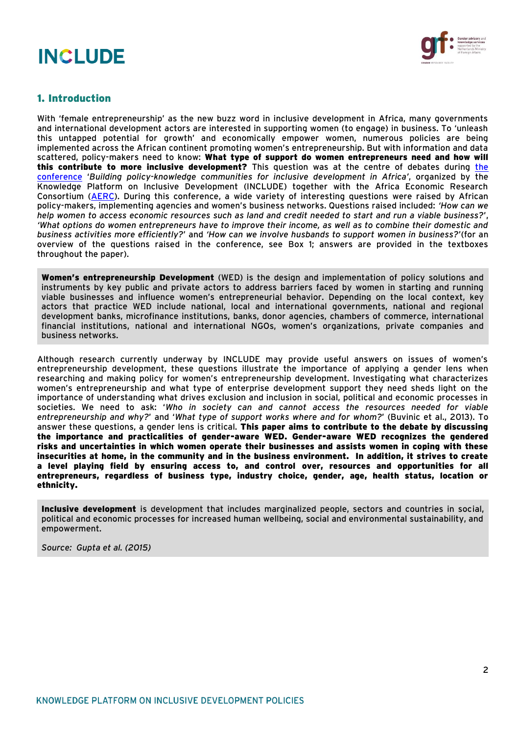

## 1. Introduction

With 'female entrepreneurship' as the new buzz word in inclusive development in Africa, many governments and international development actors are interested in supporting women (to engage) in business. To 'unleash this untapped potential for growth' and economically empower women, numerous policies are being implemented across the African continent promoting women's entrepreneurship. But with information and data scattered, policy-makers need to know: What type of support do women entrepreneurs need and how will this contribute to more inclusive development? This question was at the centre of debates during [the](http://includeplatform.net/dossier/include-seminar-spring-2015-nairobi-2/)  [conference](http://includeplatform.net/dossier/include-seminar-spring-2015-nairobi-2/) '*Building policy-knowledge communities for inclusive development in Africa'*, organized by the Knowledge Platform on Inclusive Development (INCLUDE) together with the Africa Economic Research Consortium [\(AERC\)](http://aercafrica.org/). During this conference, a wide variety of interesting questions were raised by African policy-makers, implementing agencies and women's business networks. Questions raised included: *'How can we help women to access economic resources such as land and credit needed to start and run a viable business?*', *'What options do women entrepreneurs have to improve their income, as well as to combine their domestic and business activities more efficiently?*' and *'How can we involve husbands to support women in business?*'(for an overview of the questions raised in the conference, see Box 1; answers are provided in the textboxes throughout the paper).

Women's entrepreneurship Development (WED) is the design and implementation of policy solutions and instruments by key public and private actors to address barriers faced by women in starting and running viable businesses and influence women's entrepreneurial behavior. Depending on the local context, key actors that practice WED include national, local and international governments, national and regional development banks, microfinance institutions, banks, donor agencies, chambers of commerce, international financial institutions, national and international NGOs, women's organizations, private companies and business networks.

Although research currently underway by INCLUDE may provide useful answers on issues of women's entrepreneurship development, these questions illustrate the importance of applying a gender lens when researching and making policy for women's entrepreneurship development. Investigating what characterizes women's entrepreneurship and what type of enterprise development support they need sheds light on the importance of understanding what drives exclusion and inclusion in social, political and economic processes in societies. We need to ask: '*Who in society can and cannot access the resources needed for viable entrepreneurship and why?*' and '*What type of support works where and for whom?*' (Buvinic et al., 2013). To answer these questions, a gender lens is critical. This paper aims to contribute to the debate by discussing the importance and practicalities of gender-aware WED. Gender-aware WED recognizes the gendered risks and uncertainties in which women operate their businesses and assists women in coping with these insecurities at home, in the community and in the business environment. In addition, it strives to create a level playing field by ensuring access to, and control over, resources and opportunities for all entrepreneurs, regardless of business type, industry choice, gender, age, health status, location or ethnicity.

Inclusive development is development that includes marginalized people, sectors and countries in social, political and economic processes for increased human wellbeing, social and environmental sustainability, and empowerment.

*Source: Gupta et al. (2015)*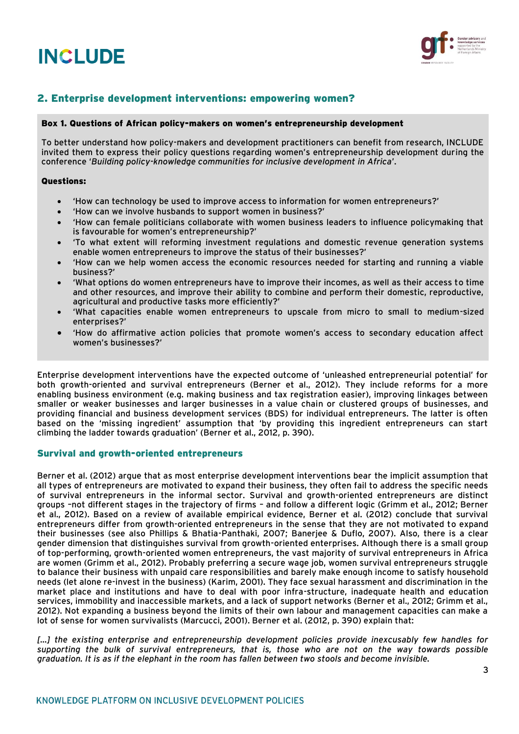

## 2. Enterprise development interventions: empowering women?

#### Box 1. Questions of African policy-makers on women's entrepreneurship development

To better understand how policy-makers and development practitioners can benefit from research, INCLUDE invited them to express their policy questions regarding women's entrepreneurship development during the conference '*Building policy-knowledge communities for inclusive development in Africa*'.

#### Questions:

- 'How can technology be used to improve access to information for women entrepreneurs?'
- 'How can we involve husbands to support women in business?'
- 'How can female politicians collaborate with women business leaders to influence policymaking that is favourable for women's entrepreneurship?'
- 'To what extent will reforming investment regulations and domestic revenue generation systems enable women entrepreneurs to improve the status of their businesses?'
- 'How can we help women access the economic resources needed for starting and running a viable business?'
- 'What options do women entrepreneurs have to improve their incomes, as well as their access to time and other resources, and improve their ability to combine and perform their domestic, reproductive, agricultural and productive tasks more efficiently?'
- 'What capacities enable women entrepreneurs to upscale from micro to small to medium-sized enterprises?'
- 'How do affirmative action policies that promote women's access to secondary education affect women's businesses?'

Enterprise development interventions have the expected outcome of 'unleashed entrepreneurial potential' for both growth-oriented and survival entrepreneurs (Berner et al., 2012). They include reforms for a more enabling business environment (e.g. making business and tax registration easier), improving linkages between smaller or weaker businesses and larger businesses in a value chain or clustered groups of businesses, and providing financial and business development services (BDS) for individual entrepreneurs. The latter is often based on the 'missing ingredient' assumption that 'by providing this ingredient entrepreneurs can start climbing the ladder towards graduation' (Berner et al., 2012, p. 390).

#### Survival and growth-oriented entrepreneurs

Berner et al. (2012) argue that as most enterprise development interventions bear the implicit assumption that all types of entrepreneurs are motivated to expand their business, they often fail to address the specific needs of survival entrepreneurs in the informal sector. Survival and growth-oriented entrepreneurs are distinct groups –not different stages in the trajectory of firms – and follow a different logic (Grimm et al., 2012; Berner et al., 2012). Based on a review of available empirical evidence, Berner et al. (2012) conclude that survival entrepreneurs differ from growth-oriented entrepreneurs in the sense that they are not motivated to expand their businesses (see also Phillips & Bhatia-Panthaki, 2007; Banerjee & Duflo, 2007). Also, there is a clear gender dimension that distinguishes survival from growth-oriented enterprises. Although there is a small group of top-performing, growth-oriented women entrepreneurs, the vast majority of survival entrepreneurs in Africa are women (Grimm et al., 2012). Probably preferring a secure wage job, women survival entrepreneurs struggle to balance their business with unpaid care responsibilities and barely make enough income to satisfy household needs (let alone re-invest in the business) (Karim, 2001). They face sexual harassment and discrimination in the market place and institutions and have to deal with poor infra-structure, inadequate health and education services, immobility and inaccessible markets, and a lack of support networks (Berner et al., 2012; Grimm et al., 2012). Not expanding a business beyond the limits of their own labour and management capacities can make a lot of sense for women survivalists (Marcucci, 2001). Berner et al. (2012, p. 390) explain that:

[...] the existing enterprise and entrepreneurship development policies provide inexcusably few handles for *supporting the bulk of survival entrepreneurs, that is, those who are not on the way towards possible graduation. It is as if the elephant in the room has fallen between two stools and become invisible.*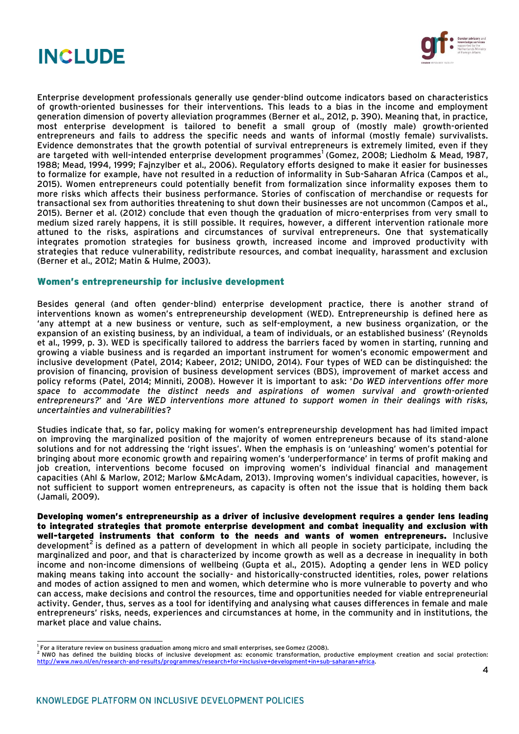



Enterprise development professionals generally use gender-blind outcome indicators based on characteristics of growth-oriented businesses for their interventions. This leads to a bias in the income and employment generation dimension of poverty alleviation programmes (Berner et al., 2012, p. 390). Meaning that, in practice, most enterprise development is tailored to benefit a small group of (mostly male) growth-oriented entrepreneurs and fails to address the specific needs and wants of informal (mostly female) survivalists. Evidence demonstrates that the growth potential of survival entrepreneurs is extremely limited, even if they are targeted with well-intended enterprise development programmes<sup>1</sup> (Gomez, 2008; Liedholm & Mead, 1987, 1988; Mead, 1994, 1999; Fajnzylber et al., 2006). Regulatory efforts designed to make it easier for businesses to formalize for example, have not resulted in a reduction of informality in Sub-Saharan Africa (Campos et al., 2015). Women entrepreneurs could potentially benefit from formalization since informality exposes them to more risks which affects their business performance. Stories of confiscation of merchandise or requests for transactional sex from authorities threatening to shut down their businesses are not uncommon (Campos et al., 2015). Berner et al. (2012) conclude that even though the graduation of micro-enterprises from very small to medium sized rarely happens, it is still possible. It requires, however, a different intervention rationale more attuned to the risks, aspirations and circumstances of survival entrepreneurs. One that systematically integrates promotion strategies for business growth, increased income and improved productivity with strategies that reduce vulnerability, redistribute resources, and combat inequality, harassment and exclusion (Berner et al., 2012; Matin & Hulme, 2003).

#### Women's entrepreneurship for inclusive development

Besides general (and often gender-blind) enterprise development practice, there is another strand of interventions known as women's entrepreneurship development (WED). Entrepreneurship is defined here as 'any attempt at a new business or venture, such as self-employment, a new business organization, or the expansion of an existing business, by an individual, a team of individuals, or an established business' (Reynolds et al., 1999, p. 3). WED is specifically tailored to address the barriers faced by women in starting, running and growing a viable business and is regarded an important instrument for women's economic empowerment and inclusive development (Patel, 2014; Kabeer, 2012; UNIDO, 2014). Four types of WED can be distinguished: the provision of financing, provision of business development services (BDS), improvement of market access and policy reforms (Patel, 2014; Minniti, 2008). However it is important to ask: '*Do WED interventions offer more space to accommodate the distinct needs and aspirations of women survival and growth-oriented entrepreneurs?*' and '*Are WED interventions more attuned to support women in their dealings with risks, uncertainties and vulnerabilities*?

Studies indicate that, so far, policy making for women's entrepreneurship development has had limited impact on improving the marginalized position of the majority of women entrepreneurs because of its stand-alone solutions and for not addressing the 'right issues'. When the emphasis is on 'unleashing' women's potential for bringing about more economic growth and repairing women's 'underperformance' in terms of profit making and job creation, interventions become focused on improving women's individual financial and management capacities (Ahl & Marlow, 2012; Marlow &McAdam, 2013). Improving women's individual capacities, however, is not sufficient to support women entrepreneurs, as capacity is often not the issue that is holding them back (Jamali, 2009).

Developing women's entrepreneurship as a driver of inclusive development requires a gender lens leading to integrated strategies that promote enterprise development and combat inequality and exclusion with well-targeted instruments that conform to the needs and wants of women entrepreneurs. Inclusive development $^{\mathsf{2}}$  is defined as a pattern of development in which all people in society participate, including the marginalized and poor, and that is characterized by income growth as well as a decrease in inequality in both income and non-income dimensions of wellbeing (Gupta et al., 2015). Adopting a gender lens in WED policy making means taking into account the socially- and historically-constructed identities, roles, power relations and modes of action assigned to men and women, which determine who is more vulnerable to poverty and who can access, make decisions and control the resources, time and opportunities needed for viable entrepreneurial activity. Gender, thus, serves as a tool for identifying and analysing what causes differences in female and male entrepreneurs' risks, needs, experiences and circumstances at home, in the community and in institutions, the market place and value chains.

<sup>&</sup>lt;u>.</u><br>I For a literature review on business graduation among micro and small enterprises, see Gomez (2008).

<sup>2</sup> NWO has defined the building blocks of inclusive development as: economic transformation, productive employment creation and social protection: [http://www.nwo.nl/en/research-and-results/programmes/research+for+inclusive+development+in+sub-saharan+africa.](http://www.nwo.nl/en/research-and-results/programmes/research+for+inclusive+development+in+sub-saharan+africa)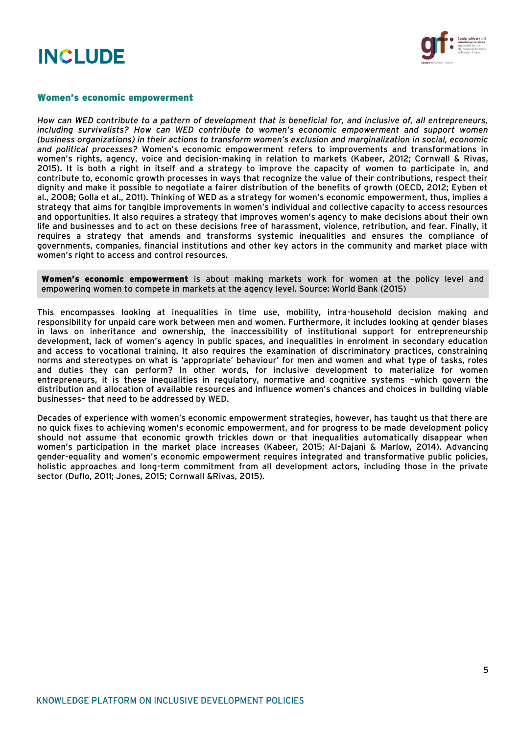

#### Women's economic empowerment

*How can WED contribute to a pattern of development that is beneficial for, and inclusive of, all entrepreneurs, including survivalists? How can WED contribute to women's economic empowerment and support women (business organizations) in their actions to transform women's exclusion and marginalization in social, economic and political processes?* Women's economic empowerment refers to improvements and transformations in women's rights, agency, voice and decision-making in relation to markets (Kabeer, 2012; Cornwall & Rivas, 2015). It is both a right in itself and a strategy to improve the capacity of women to participate in, and contribute to, economic growth processes in ways that recognize the value of their contributions, respect their dignity and make it possible to negotiate a fairer distribution of the benefits of growth (OECD, 2012; Eyben et al., 2008; Golla et al., 2011). Thinking of WED as a strategy for women's economic empowerment, thus, implies a strategy that aims for tangible improvements in women's individual and collective capacity to access resources and opportunities. It also requires a strategy that improves women's agency to make decisions about their own life and businesses and to act on these decisions free of harassment, violence, retribution, and fear. Finally, it requires a strategy that amends and transforms systemic inequalities and ensures the compliance of governments, companies, financial institutions and other key actors in the community and market place with women's right to access and control resources.

**Women's economic empowerment** is about making markets work for women at the policy level and empowering women to compete in markets at the agency level. Source: World Bank (2015)

This encompasses looking at inequalities in time use, mobility, intra-household decision making and responsibility for unpaid care work between men and women. Furthermore, it includes looking at gender biases in laws on inheritance and ownership, the inaccessibility of institutional support for entrepreneurship development, lack of women's agency in public spaces, and inequalities in enrolment in secondary education and access to vocational training. It also requires the examination of discriminatory practices, constraining norms and stereotypes on what is 'appropriate' behaviour' for men and women and what type of tasks, roles and duties they can perform? In other words, for inclusive development to materialize for women entrepreneurs, it is these inequalities in regulatory, normative and cognitive systems –which govern the distribution and allocation of available resources and influence women's chances and choices in building viable businesses– that need to be addressed by WED.

Decades of experience with women's economic empowerment strategies, however, has taught us that there are no quick fixes to achieving women's economic empowerment, and for progress to be made development policy should not assume that economic growth trickles down or that inequalities automatically disappear when women's participation in the market place increases (Kabeer, 2015; Al-Dajani & Marlow, 2014). Advancing gender-equality and women's economic empowerment requires integrated and transformative public policies, holistic approaches and long-term commitment from all development actors, including those in the private sector (Duflo, 2011; Jones, 2015; Cornwall &Rivas, 2015).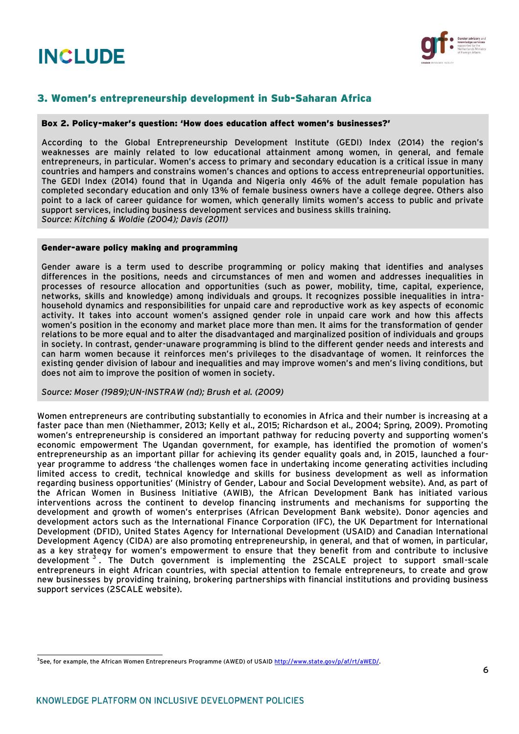

## 3. Women's entrepreneurship development in Sub-Saharan Africa

#### Box 2. Policy-maker's question: 'How does education affect women's businesses?'

According to the Global Entrepreneurship Development Institute (GEDI) Index (2014) the region's weaknesses are mainly related to low educational attainment among women, in general, and female entrepreneurs, in particular. Women's access to primary and secondary education is a critical issue in many countries and hampers and constrains women's chances and options to access entrepreneurial opportunities. The GEDI Index (2014) found that in Uganda and Nigeria only 46% of the adult female population has completed secondary education and only 13% of female business owners have a college degree. Others also point to a lack of career guidance for women, which generally limits women's access to public and private support services, including business development services and business skills training. *Source: Kitching & Woldie (2004); Davis (2011)*

#### Gender-aware policy making and programming

Gender aware is a term used to describe programming or policy making that identifies and analyses differences in the positions, needs and circumstances of men and women and addresses inequalities in processes of resource allocation and opportunities (such as power, mobility, time, capital, experience, networks, skills and knowledge) among individuals and groups. It recognizes possible inequalities in intrahousehold dynamics and responsibilities for unpaid care and reproductive work as key aspects of economic activity. It takes into account women's assigned gender role in unpaid care work and how this affects women's position in the economy and market place more than men. It aims for the transformation of gender relations to be more equal and to alter the disadvantaged and marginalized position of individuals and groups in society. In contrast, gender-unaware programming is blind to the different gender needs and interests and can harm women because it reinforces men's privileges to the disadvantage of women. It reinforces the existing gender division of labour and inequalities and may improve women's and men's living conditions, but does not aim to improve the position of women in society.

#### *Source: Moser (1989);UN-INSTRAW (nd); Brush et al. (2009)*

Women entrepreneurs are contributing substantially to economies in Africa and their number is increasing at a faster pace than men (Niethammer, 2013; Kelly et al., 2015; Richardson et al., 2004; Spring, 2009). Promoting women's entrepreneurship is considered an important pathway for reducing poverty and supporting women's economic empowerment The Ugandan government, for example, has identified the promotion of women's entrepreneurship as an important pillar for achieving its gender equality goals and, in 2015, launched a fouryear programme to address 'the challenges women face in undertaking income generating activities including limited access to credit, technical knowledge and skills for business development as well as information regarding business opportunities' (Ministry of Gender, Labour and Social Development website). And, as part of the African Women in Business Initiative (AWIB), the African Development Bank has initiated various interventions across the continent to develop financing instruments and mechanisms for supporting the development and growth of women's enterprises (African Development Bank website). Donor agencies and development actors such as the International Finance Corporation (IFC), the UK Department for International Development (DFID), United States Agency for International Development (USAID) and Canadian International Development Agency (CIDA) are also promoting entrepreneurship, in general, and that of women, in particular, as a key strategy for women's empowerment to ensure that they benefit from and contribute to inclusive development <sup>3</sup>. The Dutch government is implementing the 2SCALE project to support small-scale entrepreneurs in eight African countries, with special attention to female entrepreneurs, to create and grow new businesses by providing training, brokering partnerships with financial institutions and providing business support services (2SCALE website).

 <sup>3</sup>See, for example, the African Women Entrepreneurs Programme (AWED) of USAID <u>http://www.state.gov/p/af/rt/aWED/</u>.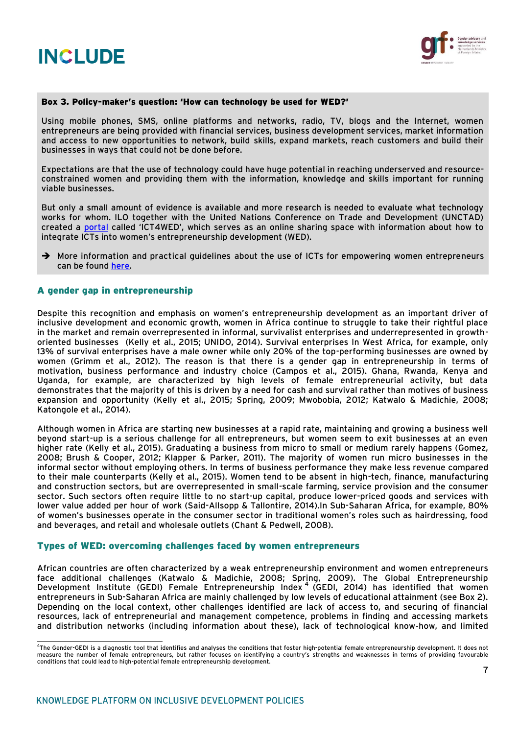

#### Box 3. Policy-maker's question: 'How can technology be used for WED?'

Using mobile phones, SMS, online platforms and networks, radio, TV, blogs and the Internet, women entrepreneurs are being provided with financial services, business development services, market information and access to new opportunities to network, build skills, expand markets, reach customers and build their businesses in ways that could not be done before.

Expectations are that the use of technology could have huge potential in reaching underserved and resourceconstrained women and providing them with the information, knowledge and skills important for running viable businesses.

But only a small amount of evidence is available and more research is needed to evaluate what technology works for whom. ILO together with the United Nations Conference on Trade and Development (UNCTAD) created a [portal](http://unctad.org/en/Pages/DTL/STI_and_ICTs/ICT4WED.aspx) called 'ICT4WED', which serves as an online sharing space with information about how to integrate ICTs into women's entrepreneurship development (WED).

 $\rightarrow$  More information and practical guidelines about the use of ICTs for empowering women entrepreneurs can be found [here.](http://unctad.org/en/PublicationsLibrary/dtlstict2013d2_en.pdf)

#### A gender gap in entrepreneurship

Despite this recognition and emphasis on women's entrepreneurship development as an important driver of inclusive development and economic growth, women in Africa continue to struggle to take their rightful place in the market and remain overrepresented in informal, survivalist enterprises and underrepresented in growthoriented businesses (Kelly et al., 2015; UNIDO, 2014). Survival enterprises In West Africa, for example, only 13% of survival enterprises have a male owner while only 20% of the top-performing businesses are owned by women (Grimm et al., 2012). The reason is that there is a gender gap in entrepreneurship in terms of motivation, business performance and industry choice (Campos et al., 2015). Ghana, Rwanda, Kenya and Uganda, for example, are characterized by high levels of female entrepreneurial activity, but data demonstrates that the majority of this is driven by a need for cash and survival rather than motives of business expansion and opportunity (Kelly et al., 2015; Spring, 2009; Mwobobia, 2012; Katwalo & Madichie, 2008; Katongole et al., 2014).

Although women in Africa are starting new businesses at a rapid rate, maintaining and growing a business well beyond start-up is a serious challenge for all entrepreneurs, but women seem to exit businesses at an even higher rate (Kelly et al., 2015). Graduating a business from micro to small or medium rarely happens (Gomez, 2008; Brush & Cooper, 2012; Klapper & Parker, 2011). The majority of women run micro businesses in the informal sector without employing others. In terms of business performance they make less revenue compared to their male counterparts (Kelly et al., 2015). Women tend to be absent in high-tech, finance, manufacturing and construction sectors, but are overrepresented in small-scale farming, service provision and the consumer sector. Such sectors often require little to no start-up capital, produce lower-priced goods and services with lower value added per hour of work (Said-Allsopp & Tallontire, 2014).In Sub-Saharan Africa, for example, 80% of women's businesses operate in the consumer sector in traditional women's roles such as hairdressing, food and beverages, and retail and wholesale outlets (Chant & Pedwell, 2008).

#### Types of WED: overcoming challenges faced by women entrepreneurs

African countries are often characterized by a weak entrepreneurship environment and women entrepreneurs face additional challenges (Katwalo & Madichie, 2008; Spring, 2009). The Global Entrepreneurship Development Institute (GEDI) Female Entrepreneurship Index<sup>4</sup> (GEDI, 2014) has identified that women entrepreneurs in Sub-Saharan Africa are mainly challenged by low levels of educational attainment (see Box 2). Depending on the local context, other challenges identified are lack of access to, and securing of financial resources, lack of entrepreneurial and management competence, problems in finding and accessing markets and distribution networks (including information about these), lack of technological know‐how, and limited

 4 The Gender-GEDI is a diagnostic tool that identifies and analyses the conditions that foster high-potential female entrepreneurship development. It does not measure the number of female entrepreneurs, but rather focuses on identifying a country's strengths and weaknesses in terms of providing favourable conditions that could lead to high-potential female entrepreneurship development.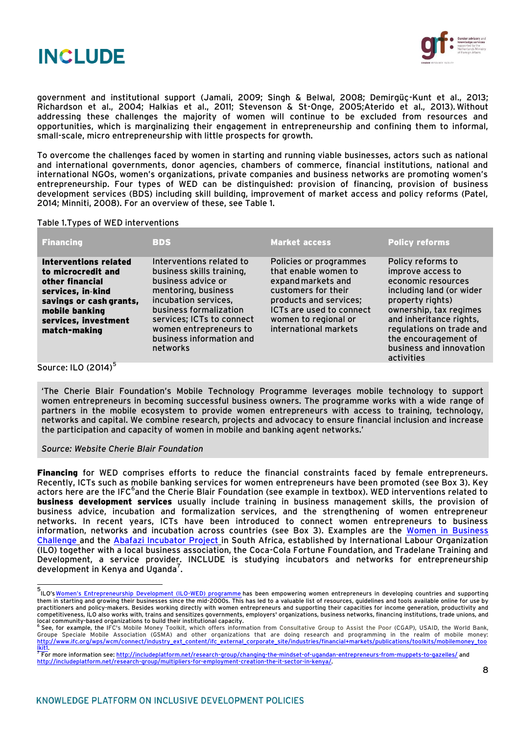



government and institutional support (Jamali, 2009; Singh & Belwal, 2008; Demirgüç-Kunt et al., 2013; Richardson et al., 2004; Halkias et al., 2011; Stevenson & St-Onge, 2005;Aterido et al., 2013). Without addressing these challenges the majority of women will continue to be excluded from resources and opportunities, which is marginalizing their engagement in entrepreneurship and confining them to informal, small-scale, micro entrepreneurship with little prospects for growth.

To overcome the challenges faced by women in starting and running viable businesses, actors such as national and international governments, donor agencies, chambers of commerce, financial institutions, national and international NGOs, women's organizations, private companies and business networks are promoting women's entrepreneurship. Four types of WED can be distinguished: provision of financing, provision of business development services (BDS) including skill building, improvement of market access and policy reforms (Patel, 2014; Minniti, 2008). For an overview of these, see Table 1.

#### Table 1.Types of WED interventions

| <b>Financing</b>                                                                                                                                                                | <b>BDS</b>                                                                                                                                                                                                                                          | <b>Market access</b>                                                                                                                                                                               | <b>Policy reforms</b>                                                                                                                                                                                                                                          |
|---------------------------------------------------------------------------------------------------------------------------------------------------------------------------------|-----------------------------------------------------------------------------------------------------------------------------------------------------------------------------------------------------------------------------------------------------|----------------------------------------------------------------------------------------------------------------------------------------------------------------------------------------------------|----------------------------------------------------------------------------------------------------------------------------------------------------------------------------------------------------------------------------------------------------------------|
| <b>Interventions related</b><br>to microcredit and<br>other financial<br>services, in-kind<br>savings or cash grants,<br>mobile banking<br>services, investment<br>match-making | Interventions related to<br>business skills training,<br>business advice or<br>mentoring, business<br>incubation services,<br>business formalization<br>services; ICTs to connect<br>women entrepreneurs to<br>business information and<br>networks | Policies or programmes<br>that enable women to<br>expand markets and<br>customers for their<br>products and services;<br>ICTs are used to connect<br>women to regional or<br>international markets | Policy reforms to<br>improve access to<br>economic resources<br>including land (or wider<br>property rights)<br>ownership, tax regimes<br>and inheritance rights,<br>regulations on trade and<br>the encouragement of<br>business and innovation<br>activities |
|                                                                                                                                                                                 |                                                                                                                                                                                                                                                     |                                                                                                                                                                                                    |                                                                                                                                                                                                                                                                |

Source: ILO (2014)<sup>5</sup>

'The Cherie Blair Foundation's Mobile Technology Programme leverages mobile technology to support women entrepreneurs in becoming successful business owners. The programme works with a wide range of partners in the mobile ecosystem to provide women entrepreneurs with access to training, technology, networks and capital. We combine research, projects and advocacy to ensure financial inclusion and increase the participation and capacity of women in mobile and banking agent networks.'

#### *Source: Website Cherie Blair Foundation*

Financing for WED comprises efforts to reduce the financial constraints faced by female entrepreneurs. Recently, ICTs such as mobile banking services for women entrepreneurs have been promoted (see Box 3). Key actors here are the IFC<sup>6</sup>and the Cherie Blair Foundation (see example in textbox). WED interventions related to business development services usually include training in business management skills, the provision of business advice, incubation and formalization services, and the strengthening of women entrepreneur networks. In recent years, ICTs have been introduced to connect women entrepreneurs to business information, networks and incubation across countries (see Box 3). Examples are the [Women in Business](http://www.bidnetwork.org/women-in-business)  [Challenge](http://www.bidnetwork.org/women-in-business) and the Abafazi [Incubator Project](http://www.ilo.org/pardev/partnerships/public-private-partnerships/factsheets/WCMS_409794/lang--en/index.htm) in South Africa, established by International Labour Organization (ILO) together with a local business association, the Coca-Cola Fortune Foundation, and Tradelane Training and Development, a service provider. INCLUDE is studying incubators and networks for entrepreneurship development in Kenya and Uganda<sup>7</sup>.

<sup>&</sup>lt;u>.</u><br>ILO's<u>Women's Entrepreneurship Development (ILO-WED) programme has been empowering women entrepreneurs in developing countries and supporting</u> them in starting and growing their businesses since the mid-2000s. This has led to a valuable list of resources, guidelines and tools available online for use by practitioners and policy-makers. Besides working directly with women entrepreneurs and supporting their capacities for income generation, productivity and<br>competitiveness, ILO also works with, trains and sensitizes governm local community-based organizations to build their institutional capacity. 6

See, for example, the IFC's Mobile Money Toolkit, which offers information from Consultative Group to Assist the Poor (CGAP), USAID, the World Bank, Groupe Speciale Mobile Association (GSMA) and other organizations that are doing research and programming in the realm of mobile money: [http://www.ifc.org/wps/wcm/connect/industry\\_ext\\_content/ifc\\_external\\_corporate\\_site/industries/financial+markets/publications/toolkits/mobilemoney\\_too](http://www.ifc.org/wps/wcm/connect/industry_ext_content/ifc_external_corporate_site/industries/financial+markets/publications/toolkits/mobilemoney_toolkit1)

<sup>&</sup>lt;u>lkit1</u>.<br><sup>7</sup> For more information see: <u>http://includeplatform.net/research-group/changing-the-mindset-of-ugandan-entrepreneurs-from-muppets-to-gazelles/ and<br><u>http://includeplatform.net/research-group/multipliers-for-emplo</u></u>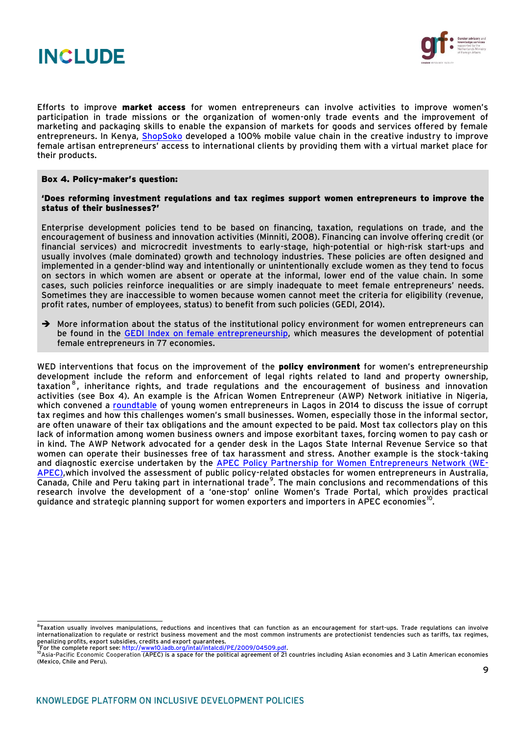



Efforts to improve market access for women entrepreneurs can involve activities to improve women's participation in trade missions or the organization of women-only trade events and the improvement of marketing and packaging skills to enable the expansion of markets for goods and services offered by female entrepreneurs. In Kenya, [ShopSoko](http://www.shopsoko.com/) developed a 100% mobile value chain in the creative industry to improve female artisan entrepreneurs' access to international clients by providing them with a virtual market place for their products.

#### Box 4. Policy-maker's question:

#### 'Does reforming investment regulations and tax regimes support women entrepreneurs to improve the status of their businesses?'

Enterprise development policies tend to be based on financing, taxation, regulations on trade, and the encouragement of business and innovation activities (Minniti, 2008). Financing can involve offering credit (or financial services) and microcredit investments to early-stage, high-potential or high-risk start-ups and usually involves (male dominated) growth and technology industries. These policies are often designed and implemented in a gender-blind way and intentionally or unintentionally exclude women as they tend to focus on sectors in which women are absent or operate at the informal, lower end of the value chain. In some cases, such policies reinforce inequalities or are simply inadequate to meet female entrepreneurs' needs. Sometimes they are inaccessible to women because women cannot meet the criteria for eligibility (revenue, profit rates, number of employees, status) to benefit from such policies (GEDI, 2014).

 $\rightarrow$  More information about the status of the institutional policy environment for women entrepreneurs can be found in the [GEDI Index on female entrepreneurship,](http://thegedi.org/research/womens-entrepreneurship-index/) which measures the development of potential female entrepreneurs in 77 economies.

WED interventions that focus on the improvement of the **policy environment** for women's entrepreneurship development include the reform and enforcement of legal rights related to land and property ownership, taxation  $^8$ , inheritance rights, and trade regulations and the encouragement of business and innovation activities (see Box 4). An example is the African Women Entrepreneur (AWP) Network initiative in Nigeria, which convened a [roundtable](http://www.dailytrust.com.ng/news/women-enterpreneurs/how-multiple-taxation-hinders-women-in-business/108375.html) of young women entrepreneurs in Lagos in 2014 to discuss the issue of corrupt tax regimes and how this challenges women's small businesses. Women, especially those in the informal sector, are often unaware of their tax obligations and the amount expected to be paid. Most tax collectors play on this lack of information among women business owners and impose exorbitant taxes, forcing women to pay cash or in kind. The AWP Network advocated for a gender desk in the Lagos State Internal Revenue Service so that women can operate their businesses free of tax harassment and stress. Another example is the stock-taking and diagnostic exercise undertaken by the [APEC Policy Partnership for Women Entrepreneurs Network \(WE-](http://www.wikigender.org/index.php/APEC_Policy_Partnership_on_Women_and_the_Economy_The_Women_Entrepreneurs_in_APEC_(WE-APEC)_Network:_Sharing_the_Foundation,_Envisaging_the_Future)[APEC\),](http://www.wikigender.org/index.php/APEC_Policy_Partnership_on_Women_and_the_Economy_The_Women_Entrepreneurs_in_APEC_(WE-APEC)_Network:_Sharing_the_Foundation,_Envisaging_the_Future)which involved the assessment of public policy-related obstacles for women entrepreneurs in Australia, Canada, Chile and Peru taking part in international trade<sup>9</sup>. The main conclusions and recommendations of this research involve the development of a 'one-stop' online Women's Trade Portal, which provides practical guidance and strategic planning support for women exporters and importers in APEC economies $^{\rm 10}$ .

ethion usually involves manipulations, reductions and incentives that can function as an encouragement for start-ups. Trade regulations can involve<br>Taxation usually involves manipulations, reductions and incentives that ca internationalization to regulate or restrict business movement and the most common instruments are protectionist tendencies such as tariffs, tax regimes, penalizing profits, export subsidies, credits and export guarantees.<br><sup>9</sup>For the complete report see: <u>http://www10.iadb.org/intal/intalcdi/PE/2009/04509.pdf</u>.<br><sup>10</sup>Asia-Pacific Economic Cooperation (APEC) is a space for the

<sup>(</sup>Mexico, Chile and Peru).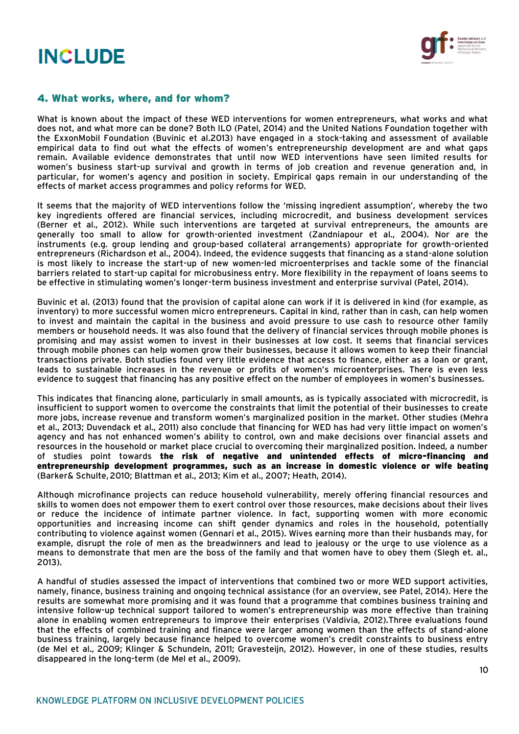



#### 4. What works, where, and for whom?

What is known about the impact of these WED interventions for women entrepreneurs, what works and what does not, and what more can be done? Both ILO (Patel, 2014) and the United Nations Foundation together with the ExxonMobil Foundation (Buvinic et al.2013) have engaged in a stock-taking and assessment of available empirical data to find out what the effects of women's entrepreneurship development are and what gaps remain. Available evidence demonstrates that until now WED interventions have seen limited results for women's business start-up survival and growth in terms of job creation and revenue generation and, in particular, for women's agency and position in society. Empirical gaps remain in our understanding of the effects of market access programmes and policy reforms for WED.

It seems that the majority of WED interventions follow the 'missing ingredient assumption', whereby the two key ingredients offered are financial services, including microcredit, and business development services (Berner et al., 2012). While such interventions are targeted at survival entrepreneurs, the amounts are generally too small to allow for growth-oriented investment (Zandniapour et al., 2004). Nor are the instruments (e.g. group lending and group-based collateral arrangements) appropriate for growth-oriented entrepreneurs (Richardson et al., 2004). Indeed, the evidence suggests that financing as a stand-alone solution is most likely to increase the start-up of new women-led microenterprises and tackle some of the financial barriers related to start-up capital for microbusiness entry. More flexibility in the repayment of loans seems to be effective in stimulating women's longer-term business investment and enterprise survival (Patel, 2014).

Buvinic et al. (2013) found that the provision of capital alone can work if it is delivered in kind (for example, as inventory) to more successful women micro entrepreneurs. Capital in kind, rather than in cash, can help women to invest and maintain the capital in the business and avoid pressure to use cash to resource other family members or household needs. It was also found that the delivery of financial services through mobile phones is promising and may assist women to invest in their businesses at low cost. It seems that financial services through mobile phones can help women grow their businesses, because it allows women to keep their financial transactions private. Both studies found very little evidence that access to finance, either as a loan or grant, leads to sustainable increases in the revenue or profits of women's microenterprises. There is even less evidence to suggest that financing has any positive effect on the number of employees in women's businesses.

This indicates that financing alone, particularly in small amounts, as is typically associated with microcredit, is insufficient to support women to overcome the constraints that limit the potential of their businesses to create more jobs, increase revenue and transform women's marginalized position in the market. Other studies (Mehra et al., 2013; Duvendack et al., 2011) also conclude that financing for WED has had very little impact on women's agency and has not enhanced women's ability to control, own and make decisions over financial assets and resources in the household or market place crucial to overcoming their marginalized position. Indeed, a number of studies point towards the risk of negative and unintended effects of micro-financing and entrepreneurship development programmes, such as an increase in domestic violence or wife beating (Barker& Schulte,2010; Blattman et al., 2013; Kim et al., 2007; Heath, 2014).

Although microfinance projects can reduce household vulnerability, merely offering financial resources and skills to women does not empower them to exert control over those resources, make decisions about their lives or reduce the incidence of intimate partner violence. In fact, supporting women with more economic opportunities and increasing income can shift gender dynamics and roles in the household, potentially contributing to violence against women (Gennari et al., 2015). Wives earning more than their husbands may, for example, disrupt the role of men as the breadwinners and lead to jealousy or the urge to use violence as a means to demonstrate that men are the boss of the family and that women have to obey them (Slegh et. al., 2013).

A handful of studies assessed the impact of interventions that combined two or more WED support activities, namely, finance, business training and ongoing technical assistance (for an overview, see Patel, 2014). Here the results are somewhat more promising and it was found that a programme that combines business training and intensive follow-up technical support tailored to women's entrepreneurship was more effective than training alone in enabling women entrepreneurs to improve their enterprises (Valdivia, 2012).Three evaluations found that the effects of combined training and finance were larger among women than the effects of stand-alone business training, largely because finance helped to overcome women's credit constraints to business entry (de Mel et al., 2009; Klinger & Schundeln, 2011; Gravesteijn, 2012). However, in one of these studies, results disappeared in the long-term (de Mel et al., 2009).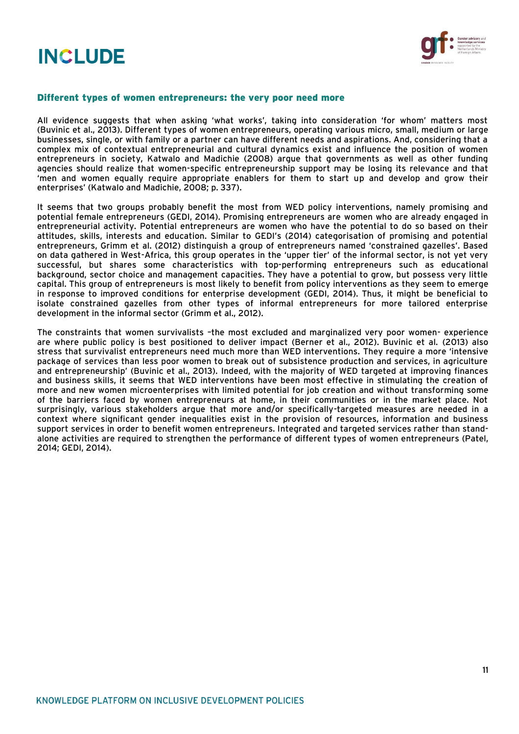



#### Different types of women entrepreneurs: the very poor need more

All evidence suggests that when asking 'what works', taking into consideration 'for whom' matters most (Buvinic et al., 2013). Different types of women entrepreneurs, operating various micro, small, medium or large businesses, single, or with family or a partner can have different needs and aspirations. And, considering that a complex mix of contextual entrepreneurial and cultural dynamics exist and influence the position of women entrepreneurs in society, Katwalo and Madichie (2008) argue that governments as well as other funding agencies should realize that women-specific entrepreneurship support may be losing its relevance and that 'men and women equally require appropriate enablers for them to start up and develop and grow their enterprises' (Katwalo and Madichie, 2008; p. 337).

It seems that two groups probably benefit the most from WED policy interventions, namely promising and potential female entrepreneurs (GEDI, 2014). Promising entrepreneurs are women who are already engaged in entrepreneurial activity. Potential entrepreneurs are women who have the potential to do so based on their attitudes, skills, interests and education. Similar to GEDI's (2014) categorisation of promising and potential entrepreneurs, Grimm et al. (2012) distinguish a group of entrepreneurs named 'constrained gazelles'. Based on data gathered in West-Africa, this group operates in the 'upper tier' of the informal sector, is not yet very successful, but shares some characteristics with top-performing entrepreneurs such as educational background, sector choice and management capacities. They have a potential to grow, but possess very little capital. This group of entrepreneurs is most likely to benefit from policy interventions as they seem to emerge in response to improved conditions for enterprise development (GEDI, 2014). Thus, it might be beneficial to isolate constrained gazelles from other types of informal entrepreneurs for more tailored enterprise development in the informal sector (Grimm et al., 2012).

The constraints that women survivalists –the most excluded and marginalized very poor women- experience are where public policy is best positioned to deliver impact (Berner et al., 2012). Buvinic et al. (2013) also stress that survivalist entrepreneurs need much more than WED interventions. They require a more 'intensive package of services than less poor women to break out of subsistence production and services, in agriculture and entrepreneurship' (Buvinic et al., 2013). Indeed, with the majority of WED targeted at improving finances and business skills, it seems that WED interventions have been most effective in stimulating the creation of more and new women microenterprises with limited potential for job creation and without transforming some of the barriers faced by women entrepreneurs at home, in their communities or in the market place. Not surprisingly, various stakeholders argue that more and/or specifically-targeted measures are needed in a context where significant gender inequalities exist in the provision of resources, information and business support services in order to benefit women entrepreneurs. Integrated and targeted services rather than standalone activities are required to strengthen the performance of different types of women entrepreneurs (Patel, 2014; GEDI, 2014).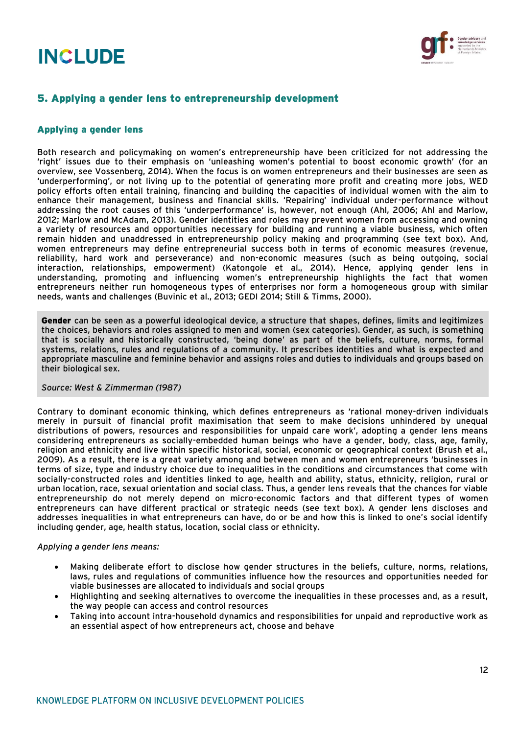

## 5. Applying a gender lens to entrepreneurship development

#### Applying a gender lens

Both research and policymaking on women's entrepreneurship have been criticized for not addressing the 'right' issues due to their emphasis on 'unleashing women's potential to boost economic growth' (for an overview, see Vossenberg, 2014). When the focus is on women entrepreneurs and their businesses are seen as 'underperforming', or not living up to the potential of generating more profit and creating more jobs, WED policy efforts often entail training, financing and building the capacities of individual women with the aim to enhance their management, business and financial skills. 'Repairing' individual under-performance without addressing the root causes of this 'underperformance' is, however, not enough (Ahl, 2006; Ahl and Marlow, 2012; Marlow and McAdam, 2013). Gender identities and roles may prevent women from accessing and owning a variety of resources and opportunities necessary for building and running a viable business, which often remain hidden and unaddressed in entrepreneurship policy making and programming (see text box). And, women entrepreneurs may define entrepreneurial success both in terms of economic measures (revenue, reliability, hard work and perseverance) and non-economic measures (such as being outgoing, social interaction, relationships, empowerment) (Katongole et al., 2014). Hence, applying gender lens in understanding, promoting and influencing women's entrepreneurship highlights the fact that women entrepreneurs neither run homogeneous types of enterprises nor form a homogeneous group with similar needs, wants and challenges (Buvinic et al., 2013; GEDI 2014; Still & Timms, 2000).

Gender can be seen as a powerful ideological device, a structure that shapes, defines, limits and legitimizes the choices, behaviors and roles assigned to men and women (sex categories). Gender, as such, is something that is socially and historically constructed, 'being done' as part of the beliefs, culture, norms, formal systems, relations, rules and regulations of a community. It prescribes identities and what is expected and appropriate masculine and feminine behavior and assigns roles and duties to individuals and groups based on their biological sex.

#### *Source: West & Zimmerman (1987)*

Contrary to dominant economic thinking, which defines entrepreneurs as 'rational money-driven individuals merely in pursuit of financial profit maximisation that seem to make decisions unhindered by unequal distributions of powers, resources and responsibilities for unpaid care work', adopting a gender lens means considering entrepreneurs as socially-embedded human beings who have a gender, body, class, age, family, religion and ethnicity and live within specific historical, social, economic or geographical context (Brush et al., 2009). As a result, there is a great variety among and between men and women entrepreneurs 'businesses in terms of size, type and industry choice due to inequalities in the conditions and circumstances that come with socially-constructed roles and identities linked to age, health and ability, status, ethnicity, religion, rural or urban location, race, sexual orientation and social class. Thus, a gender lens reveals that the chances for viable entrepreneurship do not merely depend on micro-economic factors and that different types of women entrepreneurs can have different practical or strategic needs (see text box). A gender lens discloses and addresses inequalities in what entrepreneurs can have, do or be and how this is linked to one's social identify including gender, age, health status, location, social class or ethnicity.

#### *Applying a gender lens means:*

- Making deliberate effort to disclose how gender structures in the beliefs, culture, norms, relations, laws, rules and regulations of communities influence how the resources and opportunities needed for viable businesses are allocated to individuals and social groups
- Highlighting and seeking alternatives to overcome the inequalities in these processes and, as a result, the way people can access and control resources
- Taking into account intra-household dynamics and responsibilities for unpaid and reproductive work as an essential aspect of how entrepreneurs act, choose and behave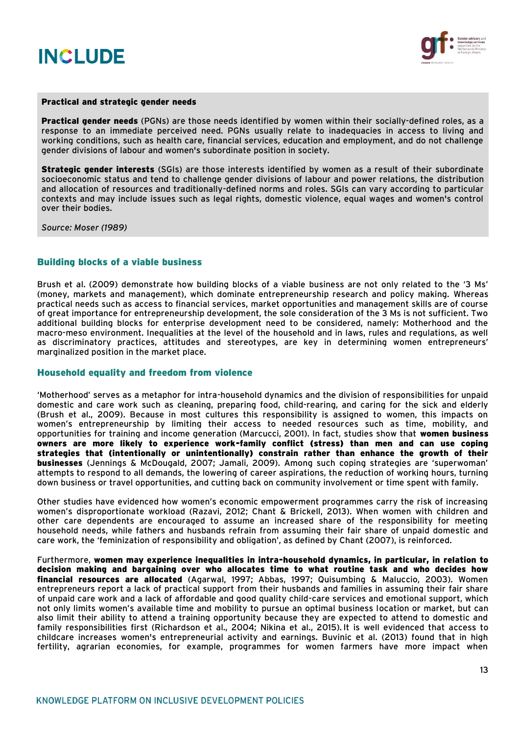



#### Practical and strategic gender needs

Practical gender needs (PGNs) are those needs identified by women within their socially-defined roles, as a response to an immediate perceived need. PGNs usually relate to inadequacies in access to living and working conditions, such as health care, financial services, education and employment, and do not challenge gender divisions of labour and women's subordinate position in society.

**Strategic gender interests** (SGIs) are those interests identified by women as a result of their subordinate socioeconomic status and tend to challenge gender divisions of labour and power relations, the distribution and allocation of resources and traditionally-defined norms and roles. SGIs can vary according to particular contexts and may include issues such as legal rights, domestic violence, equal wages and women's control over their bodies.

*Source: Moser (1989)*

#### Building blocks of a viable business

Brush et al. (2009) demonstrate how building blocks of a viable business are not only related to the '3 Ms' (money, markets and management), which dominate entrepreneurship research and policy making. Whereas practical needs such as access to financial services, market opportunities and management skills are of course of great importance for entrepreneurship development, the sole consideration of the 3 Ms is not sufficient. Two additional building blocks for enterprise development need to be considered, namely: Motherhood and the macro-meso environment. Inequalities at the level of the household and in laws, rules and regulations, as well as discriminatory practices, attitudes and stereotypes, are key in determining women entrepreneurs' marginalized position in the market place.

#### Household equality and freedom from violence

'Motherhood' serves as a metaphor for intra-household dynamics and the division of responsibilities for unpaid domestic and care work such as cleaning, preparing food, child-rearing, and caring for the sick and elderly (Brush et al., 2009). Because in most cultures this responsibility is assigned to women, this impacts on women's entrepreneurship by limiting their access to needed resources such as time, mobility, and opportunities for training and income generation (Marcucci, 2001). In fact, studies show that women business owners are more likely to experience work-family conflict (stress) than men and can use coping strategies that (intentionally or unintentionally) constrain rather than enhance the growth of their businesses (Jennings & McDougald, 2007; Jamali, 2009). Among such coping strategies are 'superwoman' attempts to respond to all demands, the lowering of career aspirations, the reduction of working hours, turning down business or travel opportunities, and cutting back on community involvement or time spent with family.

Other studies have evidenced how women's economic empowerment programmes carry the risk of increasing women's disproportionate workload (Razavi, 2012; Chant & Brickell, 2013). When women with children and other care dependents are encouraged to assume an increased share of the responsibility for meeting household needs, while fathers and husbands refrain from assuming their fair share of unpaid domestic and care work, the 'feminization of responsibility and obligation', as defined by Chant (2007), is reinforced.

Furthermore, women may experience inequalities in intra-household dynamics, in particular, in relation to decision making and bargaining over who allocates time to what routine task and who decides how financial resources are allocated (Agarwal, 1997; Abbas, 1997; Quisumbing & Maluccio, 2003). Women entrepreneurs report a lack of practical support from their husbands and families in assuming their fair share of unpaid care work and a lack of affordable and good quality child-care services and emotional support, which not only limits women's available time and mobility to pursue an optimal business location or market, but can also limit their ability to attend a training opportunity because they are expected to attend to domestic and family responsibilities first (Richardson et al., 2004; Nikina et al., 2015). It is well evidenced that access to childcare increases women's entrepreneurial activity and earnings. Buvinic et al. (2013) found that in high fertility, agrarian economies, for example, programmes for women farmers have more impact when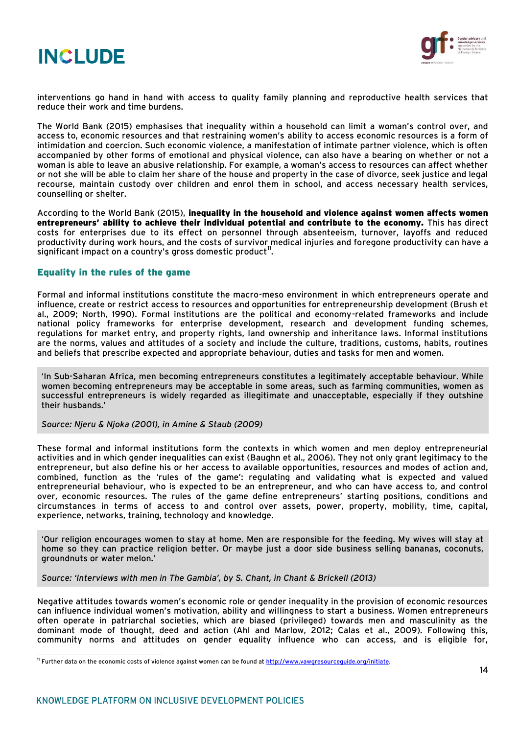



interventions go hand in hand with access to quality family planning and reproductive health services that reduce their work and time burdens.

The World Bank (2015) emphasises that inequality within a household can limit a woman's control over, and access to, economic resources and that restraining women's ability to access economic resources is a form of intimidation and coercion. Such economic violence, a manifestation of intimate partner violence, which is often accompanied by other forms of emotional and physical violence, can also have a bearing on whether or not a woman is able to leave an abusive relationship. For example, a woman's access to resources can affect whether or not she will be able to claim her share of the house and property in the case of divorce, seek justice and legal recourse, maintain custody over children and enrol them in school, and access necessary health services, counselling or shelter.

According to the World Bank (2015), inequality in the household and violence against women affects women entrepreneurs' ability to achieve their individual potential and contribute to the economy. This has direct costs for enterprises due to its effect on personnel through absenteeism, turnover, layoffs and reduced productivity during work hours, and the costs of survivor medical injuries and foregone productivity can have a significant impact on a country's gross domestic product $^{\mathrm{l\!}}.$ 

#### Equality in the rules of the game

Formal and informal institutions constitute the macro-meso environment in which entrepreneurs operate and influence, create or restrict access to resources and opportunities for entrepreneurship development (Brush et al., 2009; North, 1990). Formal institutions are the political and economy-related frameworks and include national policy frameworks for enterprise development, research and development funding schemes, regulations for market entry, and property rights, land ownership and inheritance laws. Informal institutions are the norms, values and attitudes of a society and include the culture, traditions, customs, habits, routines and beliefs that prescribe expected and appropriate behaviour, duties and tasks for men and women.

'In Sub-Saharan Africa, men becoming entrepreneurs constitutes a legitimately acceptable behaviour. While women becoming entrepreneurs may be acceptable in some areas, such as farming communities, women as successful entrepreneurs is widely regarded as illegitimate and unacceptable, especially if they outshine their husbands.'

*Source: Njeru & Njoka (2001), in Amine & Staub (2009)*

These formal and informal institutions form the contexts in which women and men deploy entrepreneurial activities and in which gender inequalities can exist (Baughn et al., 2006). They not only grant legitimacy to the entrepreneur, but also define his or her access to available opportunities, resources and modes of action and, combined, function as the 'rules of the game': regulating and validating what is expected and valued entrepreneurial behaviour, who is expected to be an entrepreneur, and who can have access to, and control over, economic resources. The rules of the game define entrepreneurs' starting positions, conditions and circumstances in terms of access to and control over assets, power, property, mobility, time, capital, experience, networks, training, technology and knowledge.

'Our religion encourages women to stay at home. Men are responsible for the feeding. My wives will stay at home so they can practice religion better. Or maybe just a door side business selling bananas, coconuts, groundnuts or water melon.'

*Source: 'Interviews with men in The Gambia', by S. Chant, in Chant & Brickell (2013)*

Negative attitudes towards women's economic role or gender inequality in the provision of economic resources can influence individual women's motivation, ability and willingness to start a business. Women entrepreneurs often operate in patriarchal societies, which are biased (privileged) towards men and masculinity as the dominant mode of thought, deed and action (Ahl and Marlow, 2012; Calas et al., 2009). Following this, community norms and attitudes on gender equality influence who can access, and is eligible for,

<sup>&</sup>lt;sup>11</sup> Further data on the economic costs of violence against women can be found a[t http://www.vawgresourceguide.org/initiate.](http://www.vawgresourceguide.org/initiate)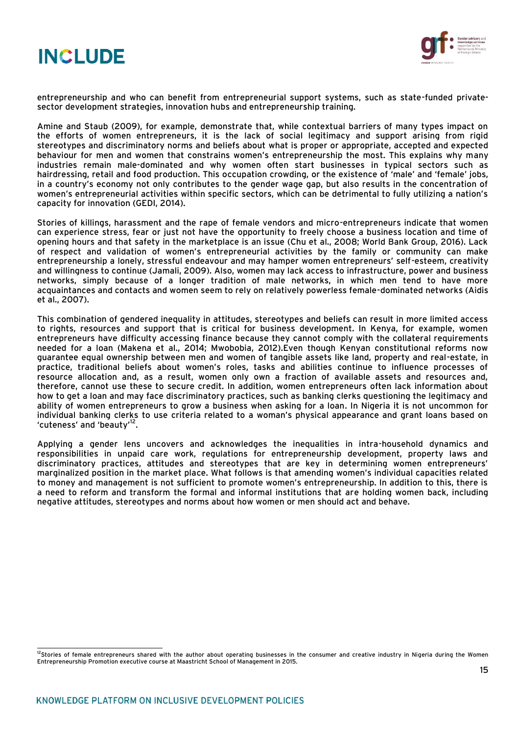



entrepreneurship and who can benefit from entrepreneurial support systems, such as state-funded privatesector development strategies, innovation hubs and entrepreneurship training.

Amine and Staub (2009), for example, demonstrate that, while contextual barriers of many types impact on the efforts of women entrepreneurs, it is the lack of social legitimacy and support arising from rigid stereotypes and discriminatory norms and beliefs about what is proper or appropriate, accepted and expected behaviour for men and women that constrains women's entrepreneurship the most. This explains why many industries remain male-dominated and why women often start businesses in typical sectors such as hairdressing, retail and food production. This occupation crowding, or the existence of 'male' and 'female' jobs, in a country's economy not only contributes to the gender wage gap, but also results in the concentration of women's entrepreneurial activities within specific sectors, which can be detrimental to fully utilizing a nation's capacity for innovation (GEDI, 2014).

Stories of killings, harassment and the rape of female vendors and micro-entrepreneurs indicate that women can experience stress, fear or just not have the opportunity to freely choose a business location and time of opening hours and that safety in the marketplace is an issue (Chu et al., 2008; World Bank Group, 2016). Lack of respect and validation of women's entrepreneurial activities by the family or community can make entrepreneurship a lonely, stressful endeavour and may hamper women entrepreneurs' self-esteem, creativity and willingness to continue (Jamali, 2009). Also, women may lack access to infrastructure, power and business networks, simply because of a longer tradition of male networks, in which men tend to have more acquaintances and contacts and women seem to rely on relatively powerless female-dominated networks (Aidis et al., 2007).

This combination of gendered inequality in attitudes, stereotypes and beliefs can result in more limited access to rights, resources and support that is critical for business development. In Kenya, for example, women entrepreneurs have difficulty accessing finance because they cannot comply with the collateral requirements needed for a loan (Makena et al., 2014; Mwobobia, 2012).Even though Kenyan constitutional reforms now guarantee equal ownership between men and women of tangible assets like land, property and real-estate, in practice, traditional beliefs about women's roles, tasks and abilities continue to influence processes of resource allocation and, as a result, women only own a fraction of available assets and resources and, therefore, cannot use these to secure credit. In addition, women entrepreneurs often lack information about how to get a loan and may face discriminatory practices, such as banking clerks questioning the legitimacy and ability of women entrepreneurs to grow a business when asking for a loan. In Nigeria it is not uncommon for individual banking clerks to use criteria related to a woman's physical appearance and grant loans based on 'cuteness' and 'beauty'<sup>12</sup>.

Applying a gender lens uncovers and acknowledges the inequalities in intra-household dynamics and responsibilities in unpaid care work, regulations for entrepreneurship development, property laws and discriminatory practices, attitudes and stereotypes that are key in determining women entrepreneurs' marginalized position in the market place. What follows is that amending women's individual capacities related to money and management is not sufficient to promote women's entrepreneurship. In addition to this, there is a need to reform and transform the formal and informal institutions that are holding women back, including negative attitudes, stereotypes and norms about how women or men should act and behave.

<sup>&</sup>lt;sup>12</sup>Stories of female entrepreneurs shared with the author about operating businesses in the consumer and creative industry in Nigeria during the Women<br>' Entrepreneurship Promotion executive course at Maastricht School of Management in 2015.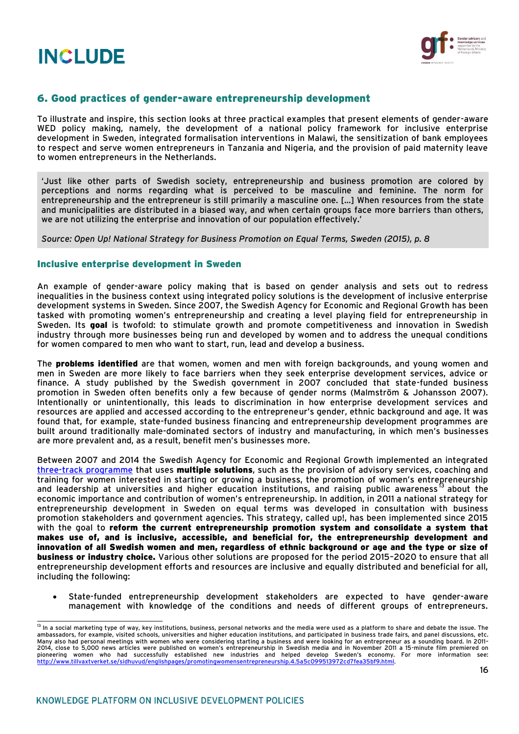



### 6. Good practices of gender-aware entrepreneurship development

To illustrate and inspire, this section looks at three practical examples that present elements of gender-aware WED policy making, namely, the development of a national policy framework for inclusive enterprise development in Sweden, integrated formalisation interventions in Malawi, the sensitization of bank employees to respect and serve women entrepreneurs in Tanzania and Nigeria, and the provision of paid maternity leave to women entrepreneurs in the Netherlands.

'Just like other parts of Swedish society, entrepreneurship and business promotion are colored by perceptions and norms regarding what is perceived to be masculine and feminine. The norm for entrepreneurship and the entrepreneur is still primarily a masculine one. […] When resources from the state and municipalities are distributed in a biased way, and when certain groups face more barriers than others, we are not utilizing the enterprise and innovation of our population effectively.'

*Source: Open Up! National Strategy for Business Promotion on Equal Terms, Sweden (2015), p. 8*

#### Inclusive enterprise development in Sweden

An example of gender-aware policy making that is based on gender analysis and sets out to redress inequalities in the business context using integrated policy solutions is the development of inclusive enterprise development systems in Sweden. Since 2007, the Swedish Agency for Economic and Regional Growth has been tasked with promoting women's entrepreneurship and creating a level playing field for entrepreneurship in Sweden. Its goal is twofold: to stimulate growth and promote competitiveness and innovation in Swedish industry through more businesses being run and developed by women and to address the unequal conditions for women compared to men who want to start, run, lead and develop a business.

The **problems identified** are that women, women and men with foreign backgrounds, and young women and men in Sweden are more likely to face barriers when they seek enterprise development services, advice or finance. A study published by the Swedish government in 2007 concluded that state-funded business promotion in Sweden often benefits only a few because of gender norms (Malmström & Johansson 2007). Intentionally or unintentionally, this leads to discrimination in how enterprise development services and resources are applied and accessed according to the entrepreneur's gender, ethnic background and age. It was found that, for example, state-funded business financing and entrepreneurship development programmes are built around traditionally male-dominated sectors of industry and manufacturing, in which men's businesses are more prevalent and, as a result, benefit men's businesses more.

Between 2007 and 2014 the Swedish Agency for Economic and Regional Growth implemented an integrated [three-track programme](http://www.womenable.com/content/userfiles/8%20years%20lessons%20learned-Tillvaxtverket-2015.pdf) that uses **multiple solutions**, such as the provision of advisory services, coaching and training for women interested in starting or growing a business, the promotion of women's entrepreneurship<br>and leadership at universities and higher education institutions, and raising public awareness<sup>13</sup> about the and leadership at universities and higher education institutions, and raising public awareness " economic importance and contribution of women's entrepreneurship. In addition, in 2011 a national strategy for entrepreneurship development in Sweden on equal terms was developed in consultation with business promotion stakeholders and government agencies. This strategy, called up!, has been implemented since 2015 with the goal to reform the current entrepreneurship promotion system and consolidate a system that makes use of, and is inclusive, accessible, and beneficial for, the entrepreneurship development and innovation of all Swedish women and men, regardless of ethnic background or age and the type or size of business or industry choice. Various other solutions are proposed for the period 2015–2020 to ensure that all entrepreneurship development efforts and resources are inclusive and equally distributed and beneficial for all, including the following:

 State-funded entrepreneurship development stakeholders are expected to have gender-aware management with knowledge of the conditions and needs of different groups of entrepreneurs.

 <sup>13</sup> In a social marketing type of way, key institutions, business, personal networks and the media were used as a platform to share and debate the issue. The ambassadors, for example, visited schools, universities and higher education institutions, and participated in business trade fairs, and panel discussions, etc. Many also had personal meetings with women who were considering starting a business and were looking for an entrepreneur as a sounding board. In 2011– 2014, close to 5,000 news articles were published on women's entrepreneurship in Swedish media and in November 2011 a 15-minute film premiered on pioneering women who had successfully established new industries and helped develop Sweden's economy. For more information see:<br><u>http://www.tillvaxtverket.se/sidhuvud/englishpages/promotingwomensentrepreneurship.4.5a5c0995</u>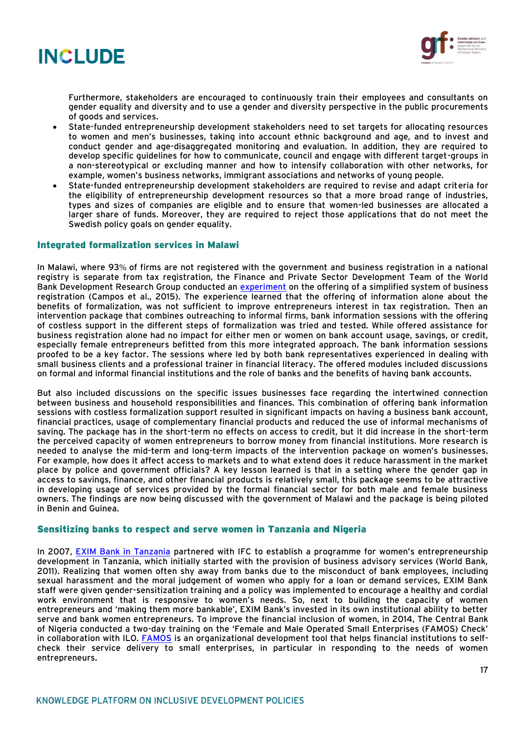



Furthermore, stakeholders are encouraged to continuously train their employees and consultants on gender equality and diversity and to use a gender and diversity perspective in the public procurements of goods and services.

- State-funded entrepreneurship development stakeholders need to set targets for allocating resources to women and men's businesses, taking into account ethnic background and age, and to invest and conduct gender and age-disaggregated monitoring and evaluation. In addition, they are required to develop specific guidelines for how to communicate, council and engage with different target-groups in a non-stereotypical or excluding manner and how to intensify collaboration with other networks, for example, women's business networks, immigrant associations and networks of young people.
- State-funded entrepreneurship development stakeholders are required to revise and adapt criteria for the eligibility of entrepreneurship development resources so that a more broad range of industries, types and sizes of companies are eligible and to ensure that women-led businesses are allocated a larger share of funds. Moreover, they are required to reject those applications that do not meet the Swedish policy goals on gender equality.

#### Integrated formalization services in Malawi

In Malawi, where 93% of firms are not registered with the government and business registration in a national registry is separate from tax registration, the Finance and Private Sector Development Team of the World Bank Development Research Group conducted an [experiment](file:///C:/Users/57447svo/Downloads/SSRN-id2579882.pdf) on the offering of a simplified system of business registration (Campos et al., 2015). The experience learned that the offering of information alone about the benefits of formalization, was not sufficient to improve entrepreneurs interest in tax registration. Then an intervention package that combines outreaching to informal firms, bank information sessions with the offering of costless support in the different steps of formalization was tried and tested. While offered assistance for business registration alone had no impact for either men or women on bank account usage, savings, or credit, especially female entrepreneurs befitted from this more integrated approach. The bank information sessions proofed to be a key factor. The sessions where led by both bank representatives experienced in dealing with small business clients and a professional trainer in financial literacy. The offered modules included discussions on formal and informal financial institutions and the role of banks and the benefits of having bank accounts.

But also included discussions on the specific issues businesses face regarding the intertwined connection between business and household responsibilities and finances. This combination of offering bank information sessions with costless formalization support resulted in significant impacts on having a business bank account, financial practices, usage of complementary financial products and reduced the use of informal mechanisms of saving. The package has in the short-term no effects on access to credit, but it did increase in the short-term the perceived capacity of women entrepreneurs to borrow money from financial institutions. More research is needed to analyse the mid-term and long-term impacts of the intervention package on women's businesses. For example, how does it affect access to markets and to what extend does it reduce harassment in the market place by police and government officials? A key lesson learned is that in a setting where the gender gap in access to savings, finance, and other financial products is relatively small, this package seems to be attractive in developing usage of services provided by the formal financial sector for both male and female business owners. The findings are now being discussed with the government of Malawi and the package is being piloted in Benin and Guinea.

#### Sensitizing banks to respect and serve women in Tanzania and Nigeria

In 2007, [EXIM Bank in Tanzania](http://www.eximbank-tz.com/) partnered with IFC to establish a programme for women's entrepreneurship development in Tanzania, which initially started with the provision of business advisory services (World Bank, 2011). Realizing that women often shy away from banks due to the misconduct of bank employees, including sexual harassment and the moral judgement of women who apply for a loan or demand services, EXIM Bank staff were given gender-sensitization training and a policy was implemented to encourage a healthy and cordial work environment that is responsive to women's needs. So, next to building the capacity of women entrepreneurs and 'making them more bankable', EXIM Bank's invested in its own institutional ability to better serve and bank women entrepreneurs. To improve the financial inclusion of women, in 2014, The Central Bank of Nigeria conducted a two-day training on the 'Female and Male Operated Small Enterprises (FAMOS) Check' in collaboration with ILO. [FAMOS](http://www.ilo.org/addisababa/whats-new/WCMS_303224/lang--en/index.htm) is an organizational development tool that helps financial institutions to selfcheck their service delivery to small enterprises, in particular in responding to the needs of women entrepreneurs.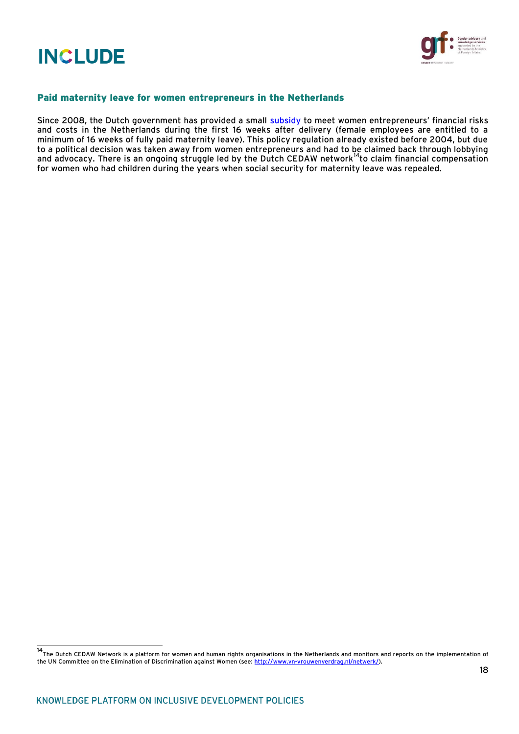

#### Paid maternity leave for women entrepreneurs in the Netherlands

Since 2008, the Dutch government has provided a small [subsidy](https://www.government.nl/documents/leaflets/2011/08/24/q-a-pregnancy-and-maternity-leave) to meet women entrepreneurs' financial risks and costs in the Netherlands during the first 16 weeks after delivery (female employees are entitled to a minimum of 16 weeks of fully paid maternity leave). This policy regulation already existed before 2004, but due to a political decision was taken away from women entrepreneurs and had to be claimed back through lobbying and advocacy. There is an ongoing struggle led by the Dutch CEDAW network<sup>14</sup>to claim financial compensation for women who had children during the years when social security for maternity leave was repealed.

 14 The Dutch CEDAW Network is a platform for women and human rights organisations in the Netherlands and monitors and reports on the implementation of the UN Committee on the Elimination of Discrimination against Women (see[: http://www.vn-vrouwenverdrag.nl/netwerk/\)](http://www.vn-vrouwenverdrag.nl/netwerk/).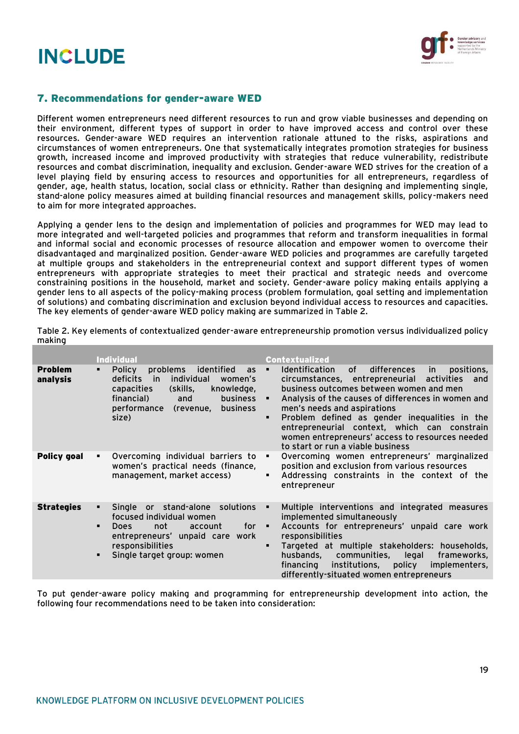

## 7. Recommendations for gender-aware WED

Different women entrepreneurs need different resources to run and grow viable businesses and depending on their environment, different types of support in order to have improved access and control over these resources. Gender-aware WED requires an intervention rationale attuned to the risks, aspirations and circumstances of women entrepreneurs. One that systematically integrates promotion strategies for business growth, increased income and improved productivity with strategies that reduce vulnerability, redistribute resources and combat discrimination, inequality and exclusion. Gender-aware WED strives for the creation of a level playing field by ensuring access to resources and opportunities for all entrepreneurs, regardless of gender, age, health status, location, social class or ethnicity. Rather than designing and implementing single, stand-alone policy measures aimed at building financial resources and management skills, policy-makers need to aim for more integrated approaches.

Applying a gender lens to the design and implementation of policies and programmes for WED may lead to more integrated and well-targeted policies and programmes that reform and transform inequalities in formal and informal social and economic processes of resource allocation and empower women to overcome their disadvantaged and marginalized position. Gender-aware WED policies and programmes are carefully targeted at multiple groups and stakeholders in the entrepreneurial context and support different types of women entrepreneurs with appropriate strategies to meet their practical and strategic needs and overcome constraining positions in the household, market and society. Gender-aware policy making entails applying a gender lens to all aspects of the policy-making process (problem formulation, goal setting and implementation of solutions) and combating discrimination and exclusion beyond individual access to resources and capacities. The key elements of gender-aware WED policy making are summarized in Table 2.

|                            | <b>Individual</b>                                                                                                                                                                                                                     | <b>Contextualized</b>                                                                                                                                                                                                                                                                                                                                                                                                                                                                    |
|----------------------------|---------------------------------------------------------------------------------------------------------------------------------------------------------------------------------------------------------------------------------------|------------------------------------------------------------------------------------------------------------------------------------------------------------------------------------------------------------------------------------------------------------------------------------------------------------------------------------------------------------------------------------------------------------------------------------------------------------------------------------------|
| <b>Problem</b><br>analysis | <b>Policy</b><br>problems<br>identified<br>as<br>$\blacksquare$<br>individual<br>deficits<br>.in<br>women's<br>capacities<br>(skills,<br>knowledge,<br>financial)<br>business<br>and<br>performance<br>business<br>(revenue,<br>size) | <b>Identification</b><br>0f<br>differences<br>positions,<br>$\blacksquare$<br>in.<br>circumstances, entrepreneurial<br>activities<br>and<br>business outcomes between women and men<br>Analysis of the causes of differences in women and<br>٠<br>men's needs and aspirations<br>Problem defined as gender inequalities in the<br>$\blacksquare$<br>entrepreneurial context, which can constrain<br>women entrepreneurs' access to resources needed<br>to start or run a viable business |
| Policy goal                | Overcoming individual barriers to<br>٠<br>women's practical needs (finance,<br>management, market access)                                                                                                                             | Overcoming women entrepreneurs' marginalized<br>٠<br>position and exclusion from various resources<br>Addressing constraints in the context of the<br>٠<br>entrepreneur                                                                                                                                                                                                                                                                                                                  |
| <b>Strategies</b>          | Single or stand-alone solutions<br>٠<br>focused individual women<br>for<br>not<br><b>Does</b><br>account<br>$\blacksquare$<br>entrepreneurs' unpaid care work<br>responsibilities<br>Single target group: women<br>$\blacksquare$     | Multiple interventions and integrated measures<br>٠<br>implemented simultaneously<br>Accounts for entrepreneurs' unpaid care work<br>٠<br>responsibilities<br>Targeted at multiple stakeholders: households,<br>$\blacksquare$<br>communities,<br>legal<br>husbands,<br>frameworks,<br>institutions,<br>policy<br>financing<br>implementers,<br>differently-situated women entrepreneurs                                                                                                 |

Table 2. Key elements of contextualized gender-aware entrepreneurship promotion versus individualized policy making

To put gender-aware policy making and programming for entrepreneurship development into action, the following four recommendations need to be taken into consideration: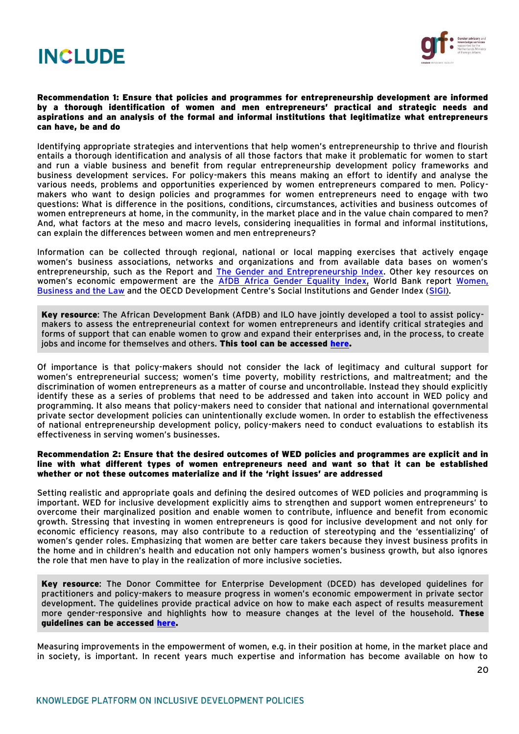



#### Recommendation 1: Ensure that policies and programmes for entrepreneurship development are informed by a thorough identification of women and men entrepreneurs' practical and strategic needs and aspirations and an analysis of the formal and informal institutions that legitimatize what entrepreneurs can have, be and do

Identifying appropriate strategies and interventions that help women's entrepreneurship to thrive and flourish entails a thorough identification and analysis of all those factors that make it problematic for women to start and run a viable business and benefit from regular entrepreneurship development policy frameworks and business development services. For policy-makers this means making an effort to identify and analyse the various needs, problems and opportunities experienced by women entrepreneurs compared to men. Policymakers who want to design policies and programmes for women entrepreneurs need to engage with two questions: What is difference in the positions, conditions, circumstances, activities and business outcomes of women entrepreneurs at home, in the community, in the market place and in the value chain compared to men? And, what factors at the meso and macro levels, considering inequalities in formal and informal institutions, can explain the differences between women and men entrepreneurs?

Information can be collected through regional, national or local mapping exercises that actively engage women's business associations, networks and organizations and from available data bases on women's entrepreneurship, such as the Report and [The Gender and Entrepreneurship Index.](http://thegedi.org/research/womens-entrepreneurship-index/) Other key resources on women's economic empowerment are the [AfDB Africa Gender Equality Index,](http://www.afdb.org/en/topics-and-sectors/topics/quality-assurance-results/gender-equality-index/) World Bank report Women, [Business and the Law](http://wbl.worldbank.org/) and the OECD Development Centre's Social Institutions and Gender Index ([SIGI\)](http://genderindex.org/).

Key resource: The African Development Bank (AfDB) and ILO have jointly developed a tool to assist policymakers to assess the entrepreneurial context for women entrepreneurs and identify critical strategies and forms of support that can enable women to grow and expand their enterprises and, in the process, to create jobs and income for themselves and others. This tool can be accessed [here.](http://www.ilo.org/empent/Publications/WCMS_116163/lang--en/index.htm)

Of importance is that policy-makers should not consider the lack of legitimacy and cultural support for women's entrepreneurial success; women's time poverty, mobility restrictions, and maltreatment; and the discrimination of women entrepreneurs as a matter of course and uncontrollable. Instead they should explicitly identify these as a series of problems that need to be addressed and taken into account in WED policy and programming. It also means that policy-makers need to consider that national and international governmental private sector development policies can unintentionally exclude women. In order to establish the effectiveness of national entrepreneurship development policy, policy-makers need to conduct evaluations to establish its effectiveness in serving women's businesses.

#### Recommendation 2: Ensure that the desired outcomes of WED policies and programmes are explicit and in line with what different types of women entrepreneurs need and want so that it can be established whether or not these outcomes materialize and if the 'right issues' are addressed

Setting realistic and appropriate goals and defining the desired outcomes of WED policies and programming is important. WED for inclusive development explicitly aims to strengthen and support women entrepreneurs' to overcome their marginalized position and enable women to contribute, influence and benefit from economic growth. Stressing that investing in women entrepreneurs is good for inclusive development and not only for economic efficiency reasons, may also contribute to a reduction of stereotyping and the 'essentializing' of women's gender roles. Emphasizing that women are better care takers because they invest business profits in the home and in children's health and education not only hampers women's business growth, but also ignores the role that men have to play in the realization of more inclusive societies.

Key resource: The Donor Committee for Enterprise Development (DCED) has developed guidelines for practitioners and policy-makers to measure progress in women's economic empowerment in private sector development. The guidelines provide practical advice on how to make each aspect of results measurement more gender-responsive and highlights how to measure changes at the level of the household. These guidelines can be accessed [here.](file:///C:/Users/57447svo/Downloads/Measuring_Womens_Economic_Empowerment_Guidance%20(1).pdf)

Measuring improvements in the empowerment of women, e.g. in their position at home, in the market place and in society, is important. In recent years much expertise and information has become available on how to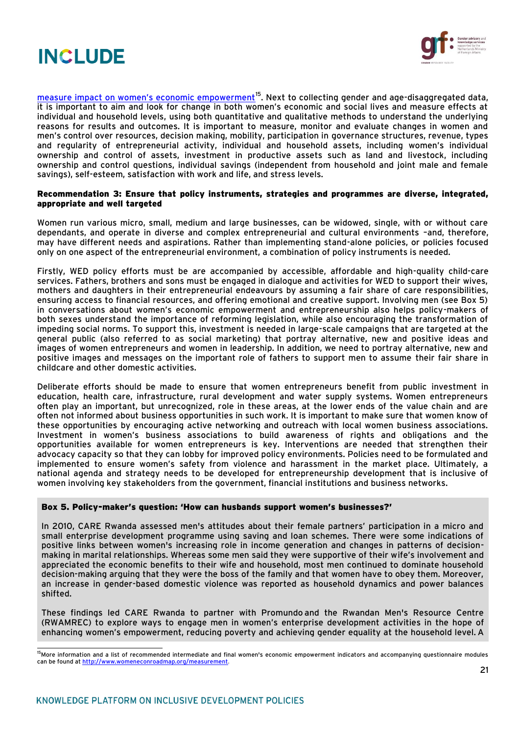



[measure impact on women's economic empowerment](http://www.womeneconroadmap.org/measurement)<sup>15</sup>. Next to collecting gender and age-disaggregated data, it is important to aim and look for change in both women's economic and social lives and measure effects at individual and household levels, using both quantitative and qualitative methods to understand the underlying reasons for results and outcomes. It is important to measure, monitor and evaluate changes in women and men's control over resources, decision making, mobility, participation in governance structures, revenue, types and regularity of entrepreneurial activity, individual and household assets, including women's individual ownership and control of assets, investment in productive assets such as land and livestock, including ownership and control questions, individual savings (independent from household and joint male and female savings), self-esteem, satisfaction with work and life, and stress levels.

#### Recommendation 3: Ensure that policy instruments, strategies and programmes are diverse, integrated, appropriate and well targeted

Women run various micro, small, medium and large businesses, can be widowed, single, with or without care dependants, and operate in diverse and complex entrepreneurial and cultural environments –and, therefore, may have different needs and aspirations. Rather than implementing stand-alone policies, or policies focused only on one aspect of the entrepreneurial environment, a combination of policy instruments is needed.

Firstly, WED policy efforts must be are accompanied by accessible, affordable and high-quality child-care services. Fathers, brothers and sons must be engaged in dialogue and activities for WED to support their wives, mothers and daughters in their entrepreneurial endeavours by assuming a fair share of care responsibilities, ensuring access to financial resources, and offering emotional and creative support. Involving men (see Box 5) in conversations about women's economic empowerment and entrepreneurship also helps policy-makers of both sexes understand the importance of reforming legislation, while also encouraging the transformation of impeding social norms. To support this, investment is needed in large-scale campaigns that are targeted at the general public (also referred to as social marketing) that portray alternative, new and positive ideas and images of women entrepreneurs and women in leadership. In addition, we need to portray alternative, new and positive images and messages on the important role of fathers to support men to assume their fair share in childcare and other domestic activities.

Deliberate efforts should be made to ensure that women entrepreneurs benefit from public investment in education, health care, infrastructure, rural development and water supply systems. Women entrepreneurs often play an important, but unrecognized, role in these areas, at the lower ends of the value chain and are often not informed about business opportunities in such work. It is important to make sure that women know of these opportunities by encouraging active networking and outreach with local women business associations. Investment in women's business associations to build awareness of rights and obligations and the opportunities available for women entrepreneurs is key. Interventions are needed that strengthen their advocacy capacity so that they can lobby for improved policy environments. Policies need to be formulated and implemented to ensure women's safety from violence and harassment in the market place. Ultimately, a national agenda and strategy needs to be developed for entrepreneurship development that is inclusive of women involving key stakeholders from the government, financial institutions and business networks.

#### Box 5. Policy-maker's question: 'How can husbands support women's businesses?'

In 2010, CARE Rwanda assessed men's attitudes about their female partners' participation in a micro and small enterprise development programme using saving and loan schemes. There were some indications of positive links between women's increasing role in income generation and changes in patterns of decisionmaking in marital relationships. Whereas some men said they were supportive of their wife's involvement and appreciated the economic benefits to their wife and household, most men continued to dominate household decision-making arguing that they were the boss of the family and that women have to obey them. Moreover, an increase in gender-based domestic violence was reported as household dynamics and power balances shifted.

These findings led CARE Rwanda to partner with Promundo and the Rwandan Men's Resource Centre (RWAMREC) to explore ways to engage men in women's enterprise development activities in the hope of enhancing women's empowerment, reducing poverty and achieving gender equality at the household level. A

 <sup>15</sup>More information and a list of recommended intermediate and final women's economic empowerment indicators and accompanying questionnaire modules can be found a[t http://www.womeneconroadmap.org/measurement.](http://www.womeneconroadmap.org/measurement)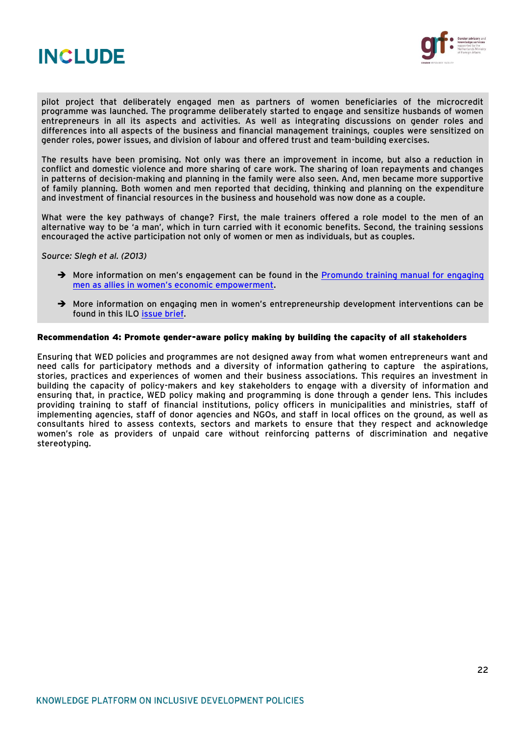



pilot project that deliberately engaged men as partners of women beneficiaries of the microcredit programme was launched. The programme deliberately started to engage and sensitize husbands of women entrepreneurs in all its aspects and activities. As well as integrating discussions on gender roles and differences into all aspects of the business and financial management trainings, couples were sensitized on gender roles, power issues, and division of labour and offered trust and team-building exercises.

The results have been promising. Not only was there an improvement in income, but also a reduction in conflict and domestic violence and more sharing of care work. The sharing of loan repayments and changes in patterns of decision-making and planning in the family were also seen. And, men became more supportive of family planning. Both women and men reported that deciding, thinking and planning on the expenditure and investment of financial resources in the business and household was now done as a couple.

What were the key pathways of change? First, the male trainers offered a role model to the men of an alternative way to be 'a man', which in turn carried with it economic benefits. Second, the training sessions encouraged the active participation not only of women or men as individuals, but as couples.

*Source: Slegh et al. (2013)* 

- $\rightarrow$  More information on men's engagement can be found in the Promundo training manual for engaging [men as allies in women's economic empowerment](http://promundoglobal.org/resources/journeys-of-transformation-a-training-manual-for-engaging-men-as-allies-in-womens-economic-empowerment/).
- → More information on engaging men in women's entrepreneurship development interventions can be found in this ILO [issue brief.](http://www.ilo.org/empent/areas/womens-entrepreneurship-development-wed/WCMS_430937/lang--en/index.htm)

#### Recommendation 4: Promote gender-aware policy making by building the capacity of all stakeholders

Ensuring that WED policies and programmes are not designed away from what women entrepreneurs want and need calls for participatory methods and a diversity of information gathering to capture the aspirations, stories, practices and experiences of women and their business associations. This requires an investment in building the capacity of policy-makers and key stakeholders to engage with a diversity of information and ensuring that, in practice, WED policy making and programming is done through a gender lens. This includes providing training to staff of financial institutions, policy officers in municipalities and ministries, staff of implementing agencies, staff of donor agencies and NGOs, and staff in local offices on the ground, as well as consultants hired to assess contexts, sectors and markets to ensure that they respect and acknowledge women's role as providers of unpaid care without reinforcing patterns of discrimination and negative stereotyping.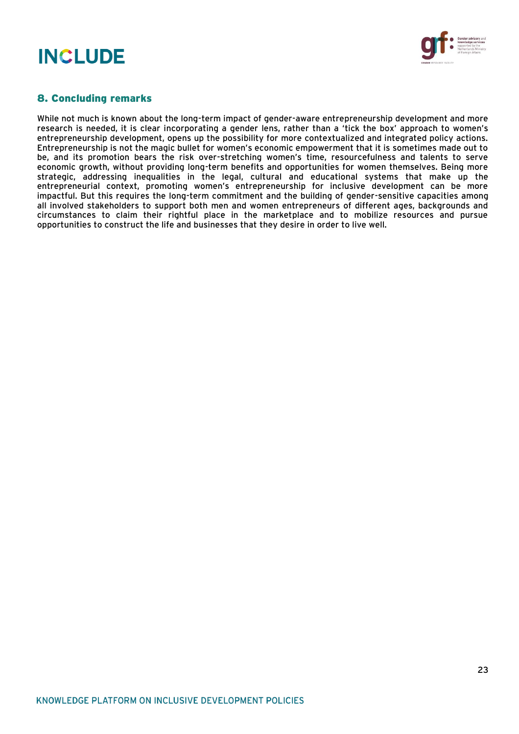

## 8. Concluding remarks

While not much is known about the long-term impact of gender-aware entrepreneurship development and more research is needed, it is clear incorporating a gender lens, rather than a 'tick the box' approach to women's entrepreneurship development, opens up the possibility for more contextualized and integrated policy actions. Entrepreneurship is not the magic bullet for women's economic empowerment that it is sometimes made out to be, and its promotion bears the risk over-stretching women's time, resourcefulness and talents to serve economic growth, without providing long-term benefits and opportunities for women themselves. Being more strategic, addressing inequalities in the legal, cultural and educational systems that make up the entrepreneurial context, promoting women's entrepreneurship for inclusive development can be more impactful. But this requires the long-term commitment and the building of gender-sensitive capacities among all involved stakeholders to support both men and women entrepreneurs of different ages, backgrounds and circumstances to claim their rightful place in the marketplace and to mobilize resources and pursue opportunities to construct the life and businesses that they desire in order to live well.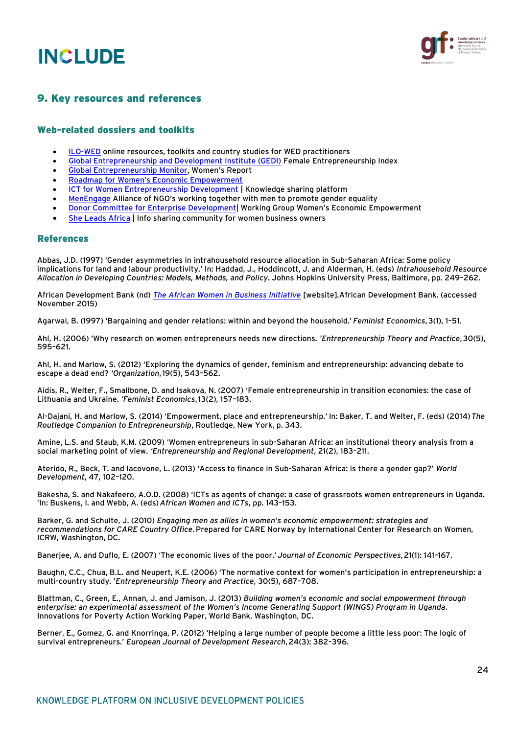



## 9. Key resources and references

#### Web-related dossiers and toolkits

- [ILO-WED](http://www.ilo.org/empent/areas/womens-entrepreneurship-development-wed/lang--en/index.htm) online resources, toolkits and country studies for WED practitioners
- [Global Entrepreneurship and Development Institute \(GEDI\)](http://thegedi.org/research/womens-entrepreneurship-index/) Female Entrepreneurship Index
- [Global Entrepreneurship Monitor](http://www.gemconsortium.org/), Women's Report
- [Roadmap for Women's Economic Empowerment](http://www.womeneconroadmap.org/)
- [ICT for Women Entrepreneurship Development](http://unctad.org/en/Pages/DTL/STI_and_ICTs/ICT4WED.aspx) | Knowledge sharing platform
- [MenEngage](http://menengage.org/) Alliance of NGO's working together with men to promote gender equality
- [Donor Committee for Enterprise Development](http://www.enterprise-development.org/page/wed)| Working Group Women's Economic Empowerment
- [She Leads Africa](http://sheleadsafrica.org/) | Info sharing community for women business owners

#### References

Abbas, J.D. (1997) 'Gender asymmetries in intrahousehold resource allocation in Sub-Saharan Africa: Some policy implications for land and labour productivity.' In: Haddad, J., Hoddincott, J. and Alderman, H. (eds) *Intrahousehold Resource Allocation in Developing Countries: Models, Methods, and Policy*. Johns Hopkins University Press, Baltimore, pp. 249–262.

African Development Bank (nd) *[The African Women in Business Initiative](http://www.afdb.org/en/topics-and-sectors/initiatives-partnerships/african-women-in-business-initiative/)* [website]*.*African Development Bank. (accessed November 2015)

Agarwal, B. (1997) 'Bargaining and gender relations: within and beyond the household.' *Feminist Economics*,3(1), 1–51.

Ahl, H. (2006) 'Why research on women entrepreneurs needs new directions. *'Entrepreneurship Theory and Practice*,30(5), 595–621.

Ahl, H. and Marlow, S. (2012) 'Exploring the dynamics of gender, feminism and entrepreneurship: advancing debate to escape a dead end? *'Organization*,19(5), 543–562.

Aidis, R., Welter, F., Smallbone, D. and Isakova, N. (2007) 'Female entrepreneurship in transition economies: the case of Lithuania and Ukraine. *'Feminist Economics*,13(2), 157–183.

Al-Dajani, H. and Marlow, S. (2014) 'Empowerment, place and entrepreneurship.' In: Baker, T. and Welter, F. (eds) (2014)*The Routledge Companion to Entrepreneurship*, Routledge, New York, p. 343.

Amine, L.S. and Staub, K.M. (2009) 'Women entrepreneurs in sub-Saharan Africa: an institutional theory analysis from a social marketing point of view. *'Entrepreneurship and Regional Development*, 21(2), 183–211.

Aterido, R., Beck, T. and Iacovone, L. (2013) 'Access to finance in Sub-Saharan Africa: is there a gender gap?' *World Development*, 47, 102–120.

Bakesha, S. and Nakafeero, A.O.D. (2008) 'ICTs as agents of change: a case of grassroots women entrepreneurs in Uganda. 'In: Buskens, I. and Webb, A. (eds) *African Women and ICTs*, pp. 143–153.

Barker, G. and Schulte, J. (2010) *Engaging men as allies in women's economic empowerment: strategies and recommendations for CARE Country Office*.Prepared for CARE Norway by International Center for Research on Women, ICRW, Washington, DC.

Banerjee, A. and Duflo, E. (2007) 'The economic lives of the poor.' *Journal of Economic Perspectives*,21(1): 141–167.

Baughn, C.C., Chua, B.L. and Neupert, K.E. (2006) 'The normative context for women's participation in entrepreneurship: a multi-country study. '*Entrepreneurship Theory and Practice*, 30(5), 687–708.

Blattman, C., Green, E., Annan, J. and Jamison, J. (2013) *Building women's economic and social empowerment through enterprise: an experimental assessment of the Women's Income Generating Support (WINGS) Program in Uganda*. Innovations for Poverty Action Working Paper, World Bank, Washington, DC.

Berner, E., Gomez, G. and Knorringa, P. (2012) 'Helping a large number of people become a little less poor: The logic of survival entrepreneurs.' *European Journal of Development Research*,24(3): 382–396.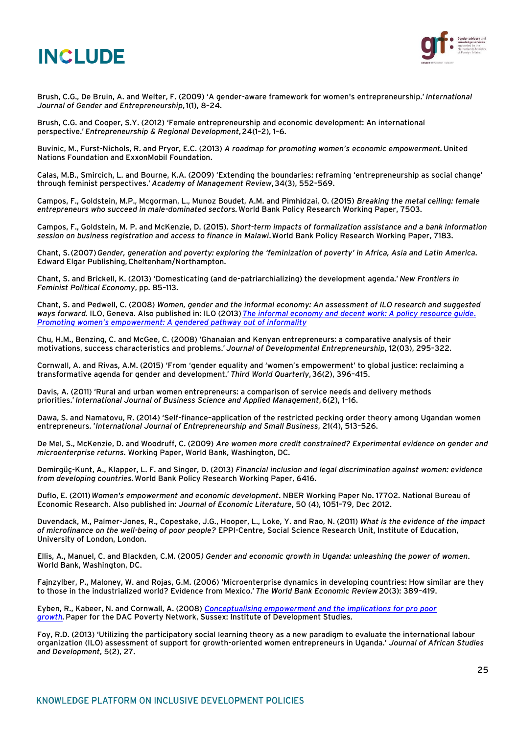

Brush, C.G., De Bruin, A. and Welter, F. (2009) 'A gender-aware framework for women's entrepreneurship.' *International Journal of Gender and Entrepreneurship*,1(1), 8–24.

Brush, C.G. and Cooper, S.Y. (2012) 'Female entrepreneurship and economic development: An international perspective.'*Entrepreneurship & Regional Development*,24(1–2), 1–6.

Buvinic, M., Furst-Nichols, R. and Pryor, E.C. (2013) *A roadmap for promoting women's economic empowerment.* United Nations Foundation and ExxonMobil Foundation.

Calas, M.B., Smircich, L. and Bourne, K.A. (2009) 'Extending the boundaries: reframing 'entrepreneurship as social change' through feminist perspectives.' *Academy of Management Review*,34(3), 552–569.

Campos, F., Goldstein, M.P., Mcgorman, L., Munoz Boudet, A.M. and Pimhidzai, O. (2015) *Breaking the metal ceiling: female entrepreneurs who succeed in male-dominated sectors.*World Bank Policy Research Working Paper, 7503.

Campos, F., Goldstein, M. P. and McKenzie, D. (2015). *Short-term impacts of formalization assistance and a bank information session on business registration and access to finance in Malawi*.World Bank Policy Research Working Paper, 7183.

Chant, S.(2007)*Gender, generation and poverty: exploring the 'feminization of poverty' in Africa, Asia and Latin America.* Edward Elgar Publishing,Cheltenham/Northampton.

Chant, S. and Brickell, K. (2013) 'Domesticating (and de-patriarchializing) the development agenda.' *New Frontiers in Feminist Political Economy*, pp. 85–113.

Chant, S. and Pedwell, C. (2008) *Women, gender and the informal economy: An assessment of ILO research and suggested ways forward.* ILO, Geneva. Also published in: ILO (2013)*[The informal economy and decent work: A policy resource guide](http://digitalcommons.ilr.cornell.edu/cgi/viewcontent.cgi?article=1689&context=globaldocs)*. *Promoting women's empowerment: [A gendered pathway out of informality](http://digitalcommons.ilr.cornell.edu/cgi/viewcontent.cgi?article=1689&context=globaldocs)*

Chu, H.M., Benzing, C. and McGee, C. (2008) 'Ghanaian and Kenyan entrepreneurs: a comparative analysis of their motivations, success characteristics and problems.' *Journal of Developmental Entrepreneurship*, 12(03), 295–322.

Cornwall, A. and Rivas, A.M. (2015) 'From 'gender equality and 'women's empowerment' to global justice: reclaiming a transformative agenda for gender and development.' *Third World Quarterly*,36(2), 396–415.

Davis, A. (2011) 'Rural and urban women entrepreneurs: a comparison of service needs and delivery methods priorities.'*International Journal of Business Science and Applied Management*,6(2), 1–16.

Dawa, S. and Namatovu, R. (2014) 'Self-finance–application of the restricted pecking order theory among Ugandan women entrepreneurs. '*International Journal of Entrepreneurship and Small Business*, 21(4), 513–526.

De Mel, S., McKenzie, D. and Woodruff, C. (2009) *Are women more credit constrained? Experimental evidence on gender and microenterprise returns*. Working Paper, World Bank, Washington, DC.

Demirgüç-Kunt, A., Klapper, L. F. and Singer, D. (2013) *Financial inclusion and legal discrimination against women: evidence from developing countries.*World Bank Policy Research Working Paper, 6416.

Duflo, E. (2011)*Women's empowerment and economic development*. NBER Working Paper No. 17702. National Bureau of Economic Research. Also published in: *Journal of Economic Literature*, 50 (4), 1051–79, Dec 2012.

Duvendack, M., Palmer-Jones, R., Copestake, J.G., Hooper, L., Loke, Y. and Rao, N. (2011) *What is the evidence of the impact of microfinance on the well-being of poor people?* EPPI-Centre, Social Science Research Unit, Institute of Education, University of London, London.

Ellis, A., Manuel, C. and Blackden, C.M. (2005*) Gender and economic growth in Uganda: unleashing the power of women*. World Bank, Washington, DC.

Fajnzylber, P., Maloney, W. and Rojas, G.M. (2006) 'Microenterprise dynamics in developing countries: How similar are they to those in the industrialized world? Evidence from Mexico.' *The World Bank Economic Review*20(3): 389–419.

Eyben, R., Kabeer, N. and Cornwall, A. (2008) *[Conceptualising empowerment and the implications for pro poor](http://www.ids.ac.uk/idspublication/conceptualising-empowerment-and-theimplications-for-pro-poor-growth)  [growth.](http://www.ids.ac.uk/idspublication/conceptualising-empowerment-and-theimplications-for-pro-poor-growth)*Paper for the DAC Poverty Network, Sussex: Institute of Development Studies.

Foy, R.D. (2013) 'Utilizing the participatory social learning theory as a new paradigm to evaluate the international labour organization (ILO) assessment of support for growth-oriented women entrepreneurs in Uganda.' *Journal of African Studies and Development*, 5(2), 27.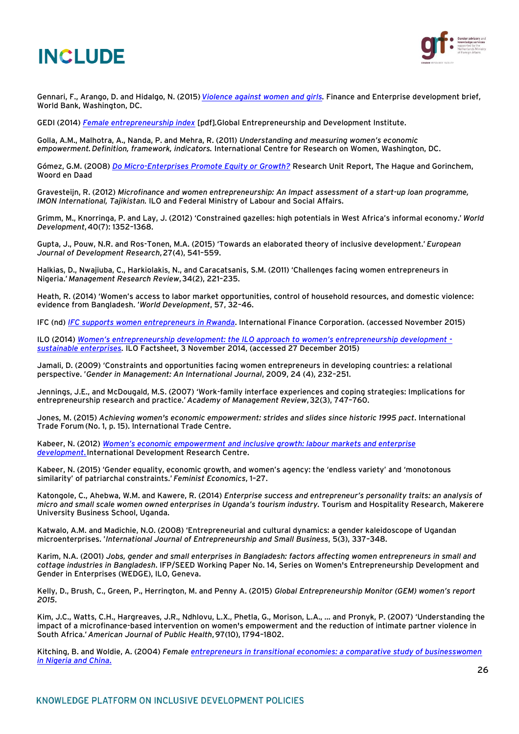

Gennari, F., Arango, D. and Hidalgo, N. (2015)*[Violence against women and girls.](https://www.openknowledge.worldbank.org/handle/10986/21087)* Finance and Enterprise development brief, World Bank, Washington, DC.

GEDI (2014) *[Female entrepreneurship index](http://thegedi.org/research/womens-entrepreneurship-index/)* [pdf]*.*Global Entrepreneurship and Development Institute.

Golla, A.M., Malhotra, A., Nanda, P. and Mehra, R. (2011) *Understanding and measuring women's economic empowerment.Definition, framework, indicators.* International Centre for Research on Women, Washington, DC.

Gómez, G.M. (2008) *[Do Micro-Enterprises Promote Equity or Growth?](http://www.woordendaad.nl/)* Research Unit Report, The Hague and Gorinchem, Woord en Daad

Gravesteijn, R. (2012) *Microfinance and women entrepreneurship: An Impact assessment of a start-up loan programme, IMON International, Tajikistan.* ILO and Federal Ministry of Labour and Social Affairs.

Grimm, M., Knorringa, P. and Lay, J. (2012) 'Constrained gazelles: high potentials in West Africa's informal economy.' *World Development*,40(7): 1352–1368.

Gupta, J., Pouw, N.R. and Ros-Tonen, M.A. (2015) 'Towards an elaborated theory of inclusive development.' *European Journal of Development Research*,27(4), 541–559.

Halkias, D., Nwajiuba, C., Harkiolakis, N., and Caracatsanis, S.M. (2011) 'Challenges facing women entrepreneurs in Nigeria.' *Management Research Review*,34(2), 221–235.

Heath, R. (2014) 'Women's access to labor market opportunities, control of household resources, and domestic violence: evidence from Bangladesh. '*World Development*, 57, 32–46.

IFC (nd) *[IFC supports women entrepreneurs in Rwanda](http://www.ifc.org/wps/wcm/connect/news_ext_content/ifc_external_corporate_site/news+and+events/news/women-entrepreneurs-rwanda)*. International Finance Corporation. (accessed November 2015)

ILO (2014) *[Women's entrepreneurship development: the ILO approach to women's entrepreneurship development](http://www.ilo.org/empent/Publications/WCMS_175471/lang--en/index.htm)  [sustainable enterprises.](http://www.ilo.org/empent/Publications/WCMS_175471/lang--en/index.htm)* ILO Factsheet, 3 November 2014, (accessed 27 December 2015)

Jamali, D. (2009) 'Constraints and opportunities facing women entrepreneurs in developing countries: a relational perspective. '*Gender in Management: An International Journal*, 2009, 24 (4), 232–251.

Jennings, J.E., and McDougald, M.S. (2007) 'Work-family interface experiences and coping strategies: Implications for entrepreneurship research and practice.' *Academy of Management Review*,32(3), 747–760.

Jones, M. (2015) *Achieving women's economic empowerment: strides and slides since historic 1995 pact*. International Trade Forum (No. 1, p. 15). International Trade Centre.

Kabeer, N. (2012) *Women's economic empowerment and [inclusive growth: labour markets and enterprise](https://www.soas.ac.uk/cdpr/publications/papers/file80432.pdf)  [development](https://www.soas.ac.uk/cdpr/publications/papers/file80432.pdf)*.International Development Research Centre.

Kabeer, N. (2015) 'Gender equality, economic growth, and women's agency: the 'endless variety' and 'monotonous similarity' of patriarchal constraints.' *Feminist Economics*, 1–27.

Katongole, C., Ahebwa, W.M. and Kawere, R. (2014) *Enterprise success and entrepreneur's personality traits: an analysis of micro and small scale women owned enterprises in Uganda's tourism industry.* Tourism and Hospitality Research, Makerere University Business School, Uganda.

Katwalo, A.M. and Madichie, N.O. (2008) 'Entrepreneurial and cultural dynamics: a gender kaleidoscope of Ugandan microenterprises. '*International Journal of Entrepreneurship and Small Business*, 5(3), 337–348.

Karim, N.A. (2001) *Jobs, gender and small enterprises in Bangladesh: factors affecting women entrepreneurs in small and cottage industries in Bangladesh*. IFP/SEED Working Paper No. 14, Series on Women's Entrepreneurship Development and Gender in Enterprises (WEDGE), ILO, Geneva.

Kelly, D., Brush, C., Green, P., Herrington, M. and Penny A. (2015) *Global Entrepreneurship Monitor (GEM) women's report 2015*.

Kim, J.C., Watts, C.H., Hargreaves, J.R., Ndhlovu, L.X., Phetla, G., Morison, L.A., ... and Pronyk, P. (2007) 'Understanding the impact of a microfinance-based intervention on women's empowerment and the reduction of intimate partner violence in South Africa.'*American Journal of Public Health*,97(10), 1794–1802.

Kitching, B. and Woldie, A. (2004) *Female [entrepreneurs in transitional economies: a comparative study of businesswomen](http://eprints.qut.edu.au/1168/)  [in Nigeria and China](http://eprints.qut.edu.au/1168/)*.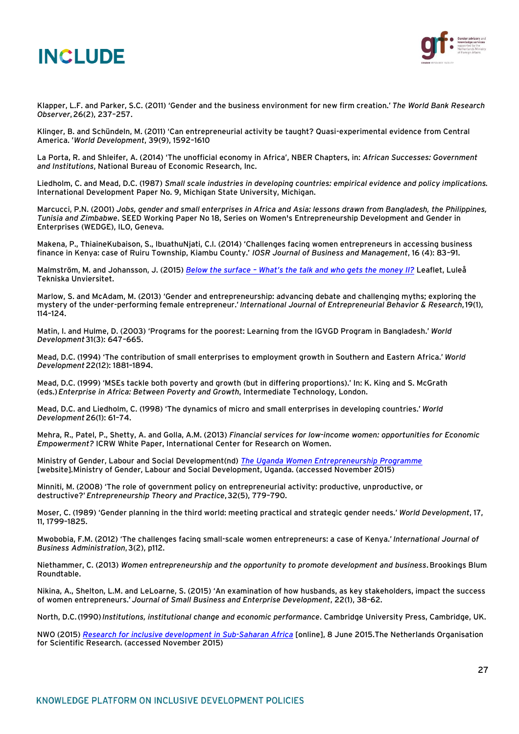



Klapper, L.F. and Parker, S.C. (2011) 'Gender and the business environment for new firm creation.' *The World Bank Research Observer*,26(2), 237–257.

Klinger, B. and Schündeln, M. (2011) 'Can entrepreneurial activity be taught? Quasi-experimental evidence from Central America. '*World Development*, 39(9), 1592–1610

La Porta, R. and Shleifer, A. (2014) 'The unofficial economy in Africa', NBER Chapters, in: *African Successes: Government and Institutions*, National Bureau of Economic Research, Inc.

Liedholm, C. and Mead, D.C. (1987) *Small scale industries in developing countries: empirical evidence and policy implications.* International Development Paper No. 9, Michigan State University, Michigan.

Marcucci, P.N. (2001) *Jobs, gender and small enterprises in Africa and Asia: lessons drawn from Bangladesh, the Philippines, Tunisia and Zimbabwe*. SEED Working Paper No 18, Series on Women's Entrepreneurship Development and Gender in Enterprises (WEDGE), ILO, Geneva.

Makena, P., ThiaineKubaison, S., IbuathuNjati, C.I. (2014) 'Challenges facing women entrepreneurs in accessing business finance in Kenya: case of Ruiru Township, Kiambu County.' *IOSR Journal of Business and Management*, 16 (4): 83–91.

Malmström, M. and Johansson, J. (2015) *Below the surface – [What's the talk and who gets t](http://publikationer.tillvaxtverket.se/ProductView.aspx?ID=2024)he money II?* Leaflet, Luleå Tekniska Unviersitet.

Marlow, S. and McAdam, M. (2013) 'Gender and entrepreneurship: advancing debate and challenging myths; exploring the mystery of the under-performing female entrepreneur.' *International Journal of Entrepreneurial Behavior & Research*,19(1), 114–124.

Matin, I. and Hulme, D. (2003) 'Programs for the poorest: Learning from the IGVGD Program in Bangladesh.' *World Development*31(3): 647–665.

Mead, D.C. (1994) 'The contribution of small enterprises to employment growth in Southern and Eastern Africa.' *World Development*22(12): 1881–1894.

Mead, D.C. (1999) 'MSEs tackle both poverty and growth (but in differing proportions).' In: K. King and S. McGrath (eds.)*Enterprise in Africa: Between Poverty and Growth*, Intermediate Technology, London.

Mead, D.C. and Liedholm, C. (1998) 'The dynamics of micro and small enterprises in developing countries.' *World Development*26(1): 61–74.

Mehra, R., Patel, P., Shetty, A. and Golla, A.M. (2013) *Financial services for low-income women: opportunities for Economic Empowerment?* ICRW White Paper, International Center for Research on Women.

Ministry of Gender, Labour and Social Development(nd) *[The Uganda Women Entrepreneurship Programme](http://www.mglsd.go.ug/programmes/the-uganda-women-entrepreneurship-programme-uWED-html)* [website]*.*Ministry of Gender, Labour and Social Development, Uganda. (accessed November 2015)

Minniti, M. (2008) 'The role of government policy on entrepreneurial activity: productive, unproductive, or destructive?'*Entrepreneurship Theory and Practice*,32(5), 779–790.

Moser, C. (1989) 'Gender planning in the third world: meeting practical and strategic gender needs.' *World Development*, 17, 11, 1799–1825.

Mwobobia, F.M. (2012) 'The challenges facing small-scale women entrepreneurs: a case of Kenya.' *International Journal of Business Administration*,3(2), p112.

Niethammer, C. (2013) *Women entrepreneurship and the opportunity to promote development and business*.Brookings Blum Roundtable.

Nikina, A., Shelton, L.M. and LeLoarne, S. (2015) 'An examination of how husbands, as key stakeholders, impact the success of women entrepreneurs.'*Journal of Small Business and Enterprise Development*, 22(1), 38–62.

North, D.C.(1990)*Institutions, institutional change and economic performance*. Cambridge University Press, Cambridge, UK.

NWO (2015) *[Research for inclusive development in Sub-Saharan Africa](http://www.nwo.nl/en/research-and-results/programmes/research+for+inclusive+development+in+sub-saharan+africa)* [online], 8 June 2015.The Netherlands Organisation for Scientific Research. (accessed November 2015)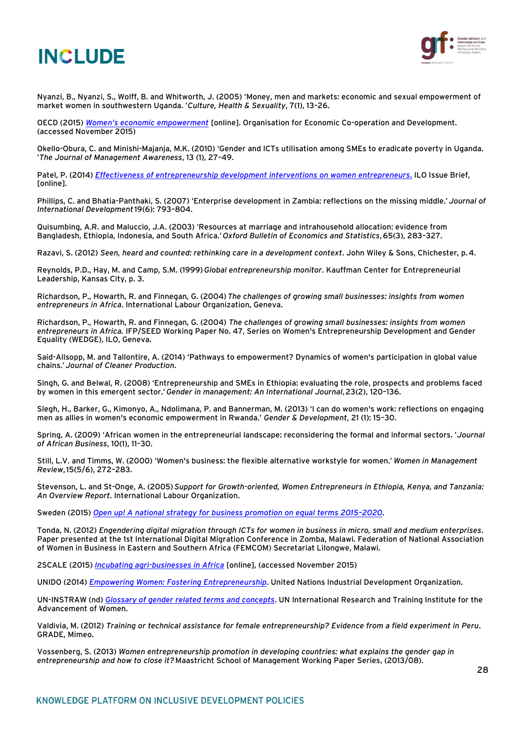



Nyanzi, B., Nyanzi, S., Wolff, B. and Whitworth, J. (2005) 'Money, men and markets: economic and sexual empowerment of market women in southwestern Uganda. '*Culture, Health & Sexuality*, 7(1), 13–26.

OECD (2015) *[Women's economic empowerment](http://www.oecd.org/dac/gender-development/womenseconomicempowerment.htm)* [online]. Organisation for Economic Co-operation and Development. (accessed November 2015)

Okello-Obura, C. and Minishi-Majanja, M.K. (2010) 'Gender and ICTs utilisation among SMEs to eradicate poverty in Uganda. '*The Journal of Management Awareness*, 13 (1), 27–49.

Patel, P. (2014) *[Effectiveness of entrepreneurship development interventions on women entrepreneurs](http://www.ilo.org/global/docs/WCMS_329356/lang--en/index.htm)*. ILO Issue Brief, [online].

Phillips, C. and Bhatia-Panthaki, S. (2007) 'Enterprise development in Zambia: reflections on the missing middle.' *Journal of International Development*19(6): 793–804.

Quisumbing, A.R. and Maluccio, J.A. (2003) 'Resources at marriage and intrahousehold allocation: evidence from Bangladesh, Ethiopia, Indonesia, and South Africa.'*Oxford Bulletin of Economics and Statistics*,65(3), 283–327.

Razavi, S. (2012) *Seen, heard and counted: rethinking care in a development context*. John Wiley & Sons, Chichester, p.4.

Reynolds, P.D., Hay, M. and Camp, S.M. (1999)*Global entrepreneurship monitor*. Kauffman Center for Entrepreneurial Leadership, Kansas City, p. 3.

Richardson, P., Howarth, R. and Finnegan, G. (2004)*The challenges of growing small businesses: insights from women entrepreneurs in Africa*. International Labour Organization, Geneva.

Richardson, P., Howarth, R. and Finnegan, G. (2004) *The challenges of growing small businesses: insights from women entrepreneurs in Africa.* IFP/SEED Working Paper No. 47, Series on Women's Entrepreneurship Development and Gender Equality (WEDGE), ILO, Geneva.

Said-Allsopp, M. and Tallontire, A. (2014) 'Pathways to empowerment? Dynamics of women's participation in global value chains.'*Journal of Cleaner Production*.

Singh, G. and Belwal, R. (2008) 'Entrepreneurship and SMEs in Ethiopia: evaluating the role, prospects and problems faced by women in this emergent sector.'*Gender in management: An International Journal*,23(2), 120–136.

Slegh, H., Barker, G., Kimonyo, A., Ndolimana, P. and Bannerman, M. (2013) 'I can do women's work: reflections on engaging men as allies in women's economic empowerment in Rwanda.' *Gender & Development*, 21 (1): 15–30.

Spring, A. (2009) 'African women in the entrepreneurial landscape: reconsidering the formal and informal sectors. '*Journal of African Business*, 10(1), 11–30.

Still, L.V. and Timms, W. (2000) 'Women's business: the flexible alternative workstyle for women.' *Women in Management Review*,15(5/6), 272–283.

Stevenson, L. and St-Onge, A. (2005)*Support for Growth-oriented, Women Entrepreneurs in Ethiopia, Kenya, and Tanzania: An Overview Report*. International Labour Organization.

Sweden (2015) *[Open up! A national strategy for business promotion on equal terms 2015](http://publikationer.tillvaxtverket.se/ProductView.aspx?ID=2028)–2020*.

Tonda, N. (2012) *Engendering digital migration through ICTs for women in business in micro, small and medium enterprises*. Paper presented at the 1st International Digital Migration Conference in Zomba, Malawi. Federation of National Association of Women in Business in Eastern and Southern Africa (FEMCOM) Secretariat Lilongwe, Malawi.

2SCALE (2015) *[Incubating agri-businesses in Africa](http://2scale.org/)* [online], (accessed November 2015)

UNIDO (2014) *[Empowering Women: Fostering Entrepreneurship](https://www.unido.org/fileadmin/user_media_upgrade/What_we_do/Topics/Women_and_Youth/Brochure_low_resolution.pdf)*. United Nations Industrial Development Organization.

UN-INSTRAW (nd) *[Glossary of gender related terms and concepts](https://unamid.unmissions.org/Portals/UNAMID/UNAMID%20at%20Work/Glossary%20of%20Gender-related%20Terms%20and%20Concepts.doc)*. UN International Research and Training Institute for the Advancement of Women.

Valdivia, M. (2012) *Training or technical assistance for female entrepreneurship? Evidence from a field experiment in Peru*. GRADE, Mimeo.

Vossenberg, S. (2013) *Women entrepreneurship promotion in developing countries: what explains the gender gap in entrepreneurship and how to close it?* Maastricht School of Management Working Paper Series, (2013/08).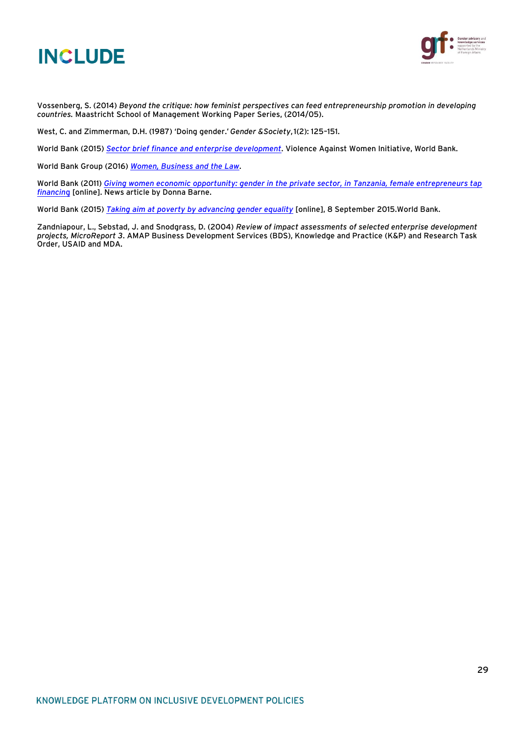



Vossenberg, S. (2014) *Beyond the critique: how feminist perspectives can feed entrepreneurship promotion in developing countries.* Maastricht School of Management Working Paper Series, (2014/05).

West, C. and Zimmerman, D.H. (1987) 'Doing gender.'*Gender &Society*,1(2): 125–151.

World Bank (2015) *[Sector brief finance and enterprise development](http://www.vawgresourceguide.org/sites/default/files/briefs/vawg_resource_guide_finance_and_enterprise_development_brief_april_2015.pdf)*. Violence Against Women Initiative, World Bank.

World Bank Group (2016) *[Women, Business and the Law](http://wbl.worldbank.org/~/media/WBG/WBL/Documents/Reports/2016/Women-Business-and-the-Law-2016.pdf)*.

World Bank (2011) *[Giving women economic opportunity: gender in the private sector, in Tanzania, female entrepreneurs tap](http://web.worldbank.org/WBSITE/EXTERNAL/TOPICS/EXTGENDER/0,,contentMDK:22930222~menuPK:7947171~pagePK:210058~piPK:210062~theSitePK:336868,00.html)  [financin](http://web.worldbank.org/WBSITE/EXTERNAL/TOPICS/EXTGENDER/0,,contentMDK:22930222~menuPK:7947171~pagePK:210058~piPK:210062~theSitePK:336868,00.html)*g [online]. News article by Donna Barne.

World Bank (2015) *[Taking aim at poverty by advancing gender equality](http://www.worldbank.org/en/topic/gender/overview#1)* [online], 8 September 2015.World Bank.

Zandniapour, L., Sebstad, J. and Snodgrass, D. (2004) *Review of impact assessments of selected enterprise development projects, MicroReport 3*. AMAP Business Development Services (BDS), Knowledge and Practice (K&P) and Research Task Order, USAID and MDA.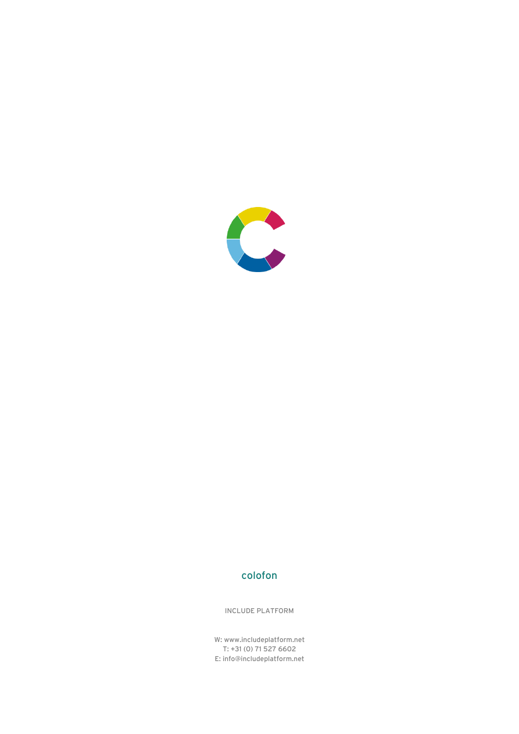

## colofon

INCLUDE PLATFORM

W: www.includeplatform.net T: +31 (0) 71 527 6602 E: info@includeplatform.net